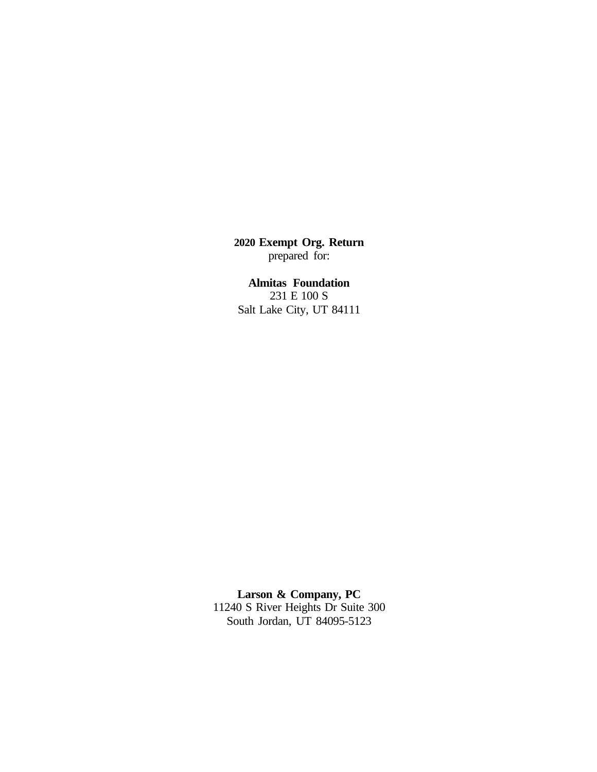**2020 Exempt Org. Return** prepared for:

**Almitas Foundation** 231 E 100 S Salt Lake City, UT 84111

**Larson & Company, PC** 11240 S River Heights Dr Suite 300 South Jordan, UT 84095-5123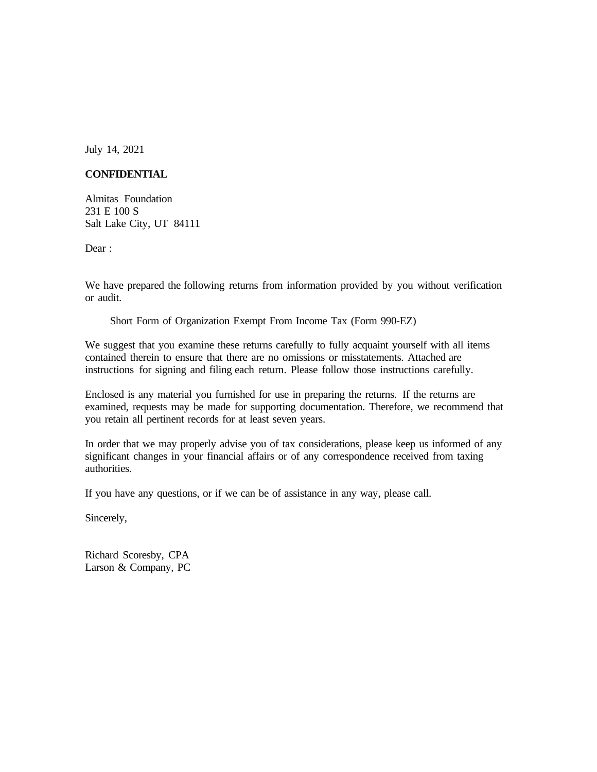July 14, 2021

### **CONFIDENTIAL**

Almitas Foundation 231 E 100 S Salt Lake City, UT 84111

Dear:

We have prepared the following returns from information provided by you without verification or audit.

Short Form of Organization Exempt From Income Tax (Form 990-EZ)

We suggest that you examine these returns carefully to fully acquaint yourself with all items contained therein to ensure that there are no omissions or misstatements. Attached are instructions for signing and filing each return. Please follow those instructions carefully.

Enclosed is any material you furnished for use in preparing the returns. If the returns are examined, requests may be made for supporting documentation. Therefore, we recommend that you retain all pertinent records for at least seven years.

In order that we may properly advise you of tax considerations, please keep us informed of any significant changes in your financial affairs or of any correspondence received from taxing authorities.

If you have any questions, or if we can be of assistance in any way, please call.

Sincerely,

Richard Scoresby, CPA Larson & Company, PC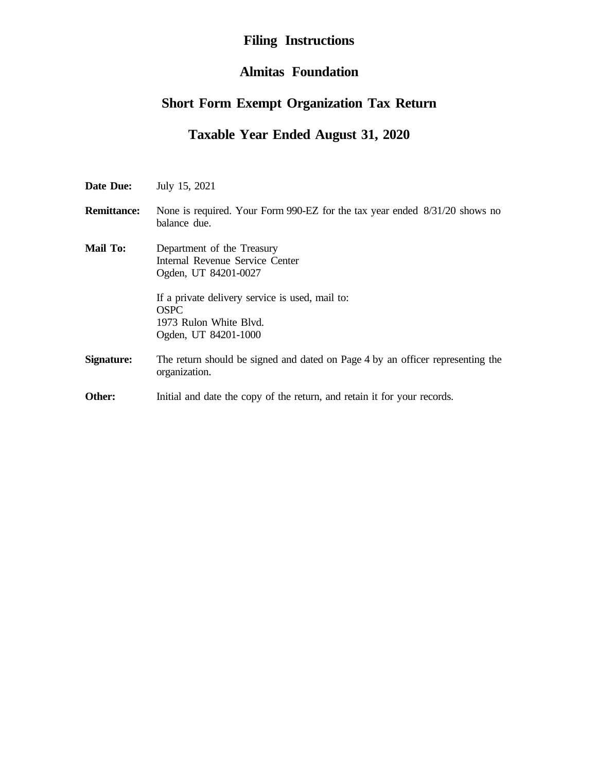# **Filing Instructions**

## **Almitas Foundation**

# **Short Form Exempt Organization Tax Return**

# **Taxable Year Ended August 31, 2020**

| Date Due:          | July 15, 2021                                                                                                                                                                                             |
|--------------------|-----------------------------------------------------------------------------------------------------------------------------------------------------------------------------------------------------------|
| <b>Remittance:</b> | None is required. Your Form 990-EZ for the tax year ended 8/31/20 shows no<br>balance due.                                                                                                                |
| <b>Mail To:</b>    | Department of the Treasury<br>Internal Revenue Service Center<br>Ogden, UT 84201-0027<br>If a private delivery service is used, mail to:<br><b>OSPC</b><br>1973 Rulon White Blyd.<br>Ogden, UT 84201-1000 |
| Signature:         | The return should be signed and dated on Page 4 by an officer representing the<br>organization.                                                                                                           |
| Other:             | Initial and date the copy of the return, and retain it for your records.                                                                                                                                  |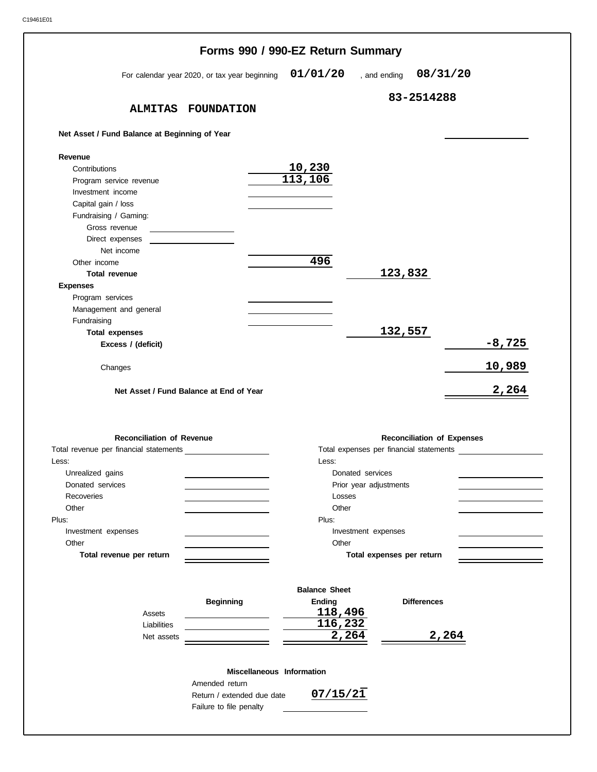|                                                          |                                               | Forms 990 / 990-EZ Return Summary |                                   |          |
|----------------------------------------------------------|-----------------------------------------------|-----------------------------------|-----------------------------------|----------|
|                                                          | For calendar year 2020, or tax year beginning | 01/01/20                          | 08/31/20<br>, and ending          |          |
|                                                          |                                               |                                   | 83-2514288                        |          |
|                                                          | ALMITAS FOUNDATION                            |                                   |                                   |          |
| Net Asset / Fund Balance at Beginning of Year            |                                               |                                   |                                   |          |
| Revenue                                                  |                                               |                                   |                                   |          |
| Contributions                                            |                                               | 10,230                            |                                   |          |
| Program service revenue                                  |                                               | 113,106                           |                                   |          |
| Investment income                                        |                                               |                                   |                                   |          |
| Capital gain / loss                                      |                                               |                                   |                                   |          |
| Fundraising / Gaming:                                    |                                               |                                   |                                   |          |
| Gross revenue                                            |                                               |                                   |                                   |          |
| Direct expenses                                          |                                               |                                   |                                   |          |
| Net income                                               |                                               |                                   |                                   |          |
| Other income                                             |                                               | 496                               |                                   |          |
| <b>Total revenue</b>                                     |                                               |                                   | 123,832                           |          |
| <b>Expenses</b>                                          |                                               |                                   |                                   |          |
| Program services                                         |                                               |                                   |                                   |          |
|                                                          |                                               |                                   |                                   |          |
| Management and general                                   |                                               |                                   |                                   |          |
| Fundraising                                              |                                               |                                   |                                   |          |
| <b>Total expenses</b>                                    |                                               |                                   | 132,557                           |          |
| Excess / (deficit)                                       |                                               |                                   |                                   | $-8,725$ |
|                                                          |                                               |                                   |                                   |          |
|                                                          |                                               |                                   |                                   |          |
| Changes                                                  |                                               |                                   |                                   |          |
|                                                          |                                               |                                   |                                   | 10,989   |
|                                                          | Net Asset / Fund Balance at End of Year       |                                   |                                   | 2,264    |
|                                                          |                                               |                                   |                                   |          |
|                                                          |                                               |                                   |                                   |          |
|                                                          |                                               |                                   |                                   |          |
| <b>Reconciliation of Revenue</b>                         |                                               |                                   | <b>Reconciliation of Expenses</b> |          |
|                                                          |                                               |                                   |                                   |          |
|                                                          |                                               | Less:                             |                                   |          |
| Unrealized gains                                         |                                               | Donated services                  |                                   |          |
| Donated services                                         |                                               | Prior year adjustments            |                                   |          |
| Recoveries                                               |                                               | Losses                            |                                   |          |
| Other                                                    |                                               | Other                             |                                   |          |
|                                                          |                                               | Plus:                             |                                   |          |
| Investment expenses                                      |                                               | Investment expenses               |                                   |          |
| Other                                                    |                                               | Other                             |                                   |          |
| Total revenue per return                                 |                                               |                                   | Total expenses per return         |          |
|                                                          |                                               |                                   |                                   |          |
|                                                          |                                               | <b>Balance Sheet</b>              |                                   |          |
|                                                          | <b>Beginning</b>                              | Ending                            | <b>Differences</b>                |          |
| Assets                                                   |                                               | 118,496                           |                                   |          |
| Liabilities                                              |                                               |                                   |                                   |          |
|                                                          |                                               | 116,232                           |                                   |          |
| Net assets                                               |                                               | 2,264                             |                                   | 2,264    |
|                                                          | Miscellaneous Information                     |                                   |                                   |          |
|                                                          | Amended return                                |                                   |                                   |          |
| Total revenue per financial statements<br>Less:<br>Plus: | Return / extended due date                    | 07/15/21                          |                                   |          |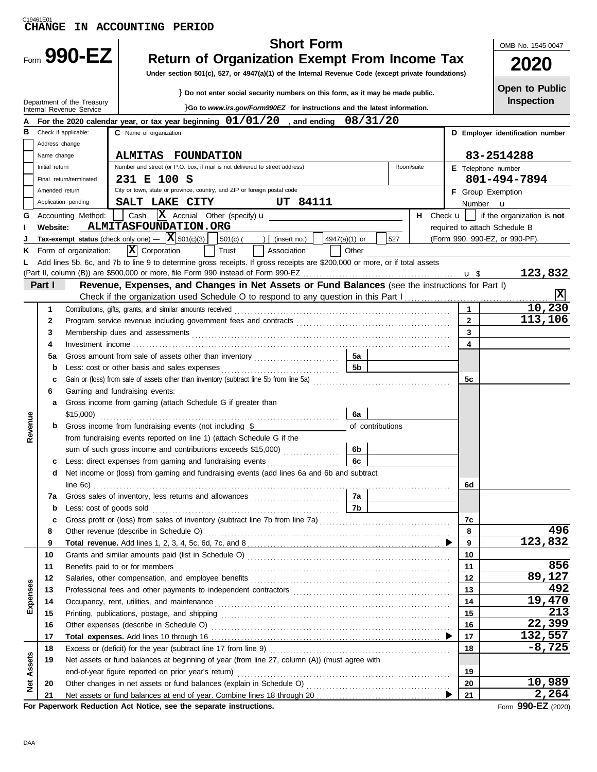| C19461E01     | <b>CHANGE</b>  |                                                        | IN ACCOUNTING PERIOD                                                                                                                                            |                          |                                                     |
|---------------|----------------|--------------------------------------------------------|-----------------------------------------------------------------------------------------------------------------------------------------------------------------|--------------------------|-----------------------------------------------------|
|               |                |                                                        | <b>Short Form</b>                                                                                                                                               |                          | OMB No. 1545-0047                                   |
|               |                | Form 990-EZ                                            | <b>Return of Organization Exempt From Income Tax</b>                                                                                                            |                          |                                                     |
|               |                |                                                        |                                                                                                                                                                 |                          | 2020                                                |
|               |                |                                                        | Under section 501(c), 527, or 4947(a)(1) of the Internal Revenue Code (except private foundations)                                                              |                          |                                                     |
|               |                |                                                        | } Do not enter social security numbers on this form, as it may be made public.                                                                                  |                          | <b>Open to Public</b>                               |
|               |                | Department of the Treasury<br>Internal Revenue Service | }Go to www.irs.gov/Form990EZ for instructions and the latest information.                                                                                       |                          | <b>Inspection</b>                                   |
|               |                |                                                        | For the 2020 calendar year, or tax year beginning $01/01/20$ , and ending $08/31/20$                                                                            |                          |                                                     |
| В             |                | Check if applicable:                                   | C Name of organization                                                                                                                                          |                          | D Employer identification number                    |
|               | Address change |                                                        |                                                                                                                                                                 |                          |                                                     |
|               | Name change    |                                                        | <b>ALMITAS FOUNDATION</b>                                                                                                                                       |                          | 83-2514288                                          |
|               | Initial return |                                                        | Number and street (or P.O. box, if mail is not delivered to street address)<br>Room/suite                                                                       | E Telephone number       |                                                     |
|               |                | Final return/terminated                                | 231 E 100 S<br>City or town, state or province, country, and ZIP or foreign postal code                                                                         |                          | 801-494-7894                                        |
|               | Amended return | Application pending                                    | SALT LAKE CITY<br>UT 84111                                                                                                                                      | <b>F</b> Group Exemption |                                                     |
| G             |                | Accounting Method:                                     | $ \mathbf{X} $ Accrual Other (specify) $\mathbf{u}$<br>Cash                                                                                                     | Number <b>u</b>          | H Check $\mathbf{u}$     if the organization is not |
|               | Website:       |                                                        | ALMITASFOUNDATION.ORG                                                                                                                                           |                          | required to attach Schedule B                       |
|               |                |                                                        | Tax-exempt status (check only one) $ \mathbf{X}$ 501(c)(3)<br>$ 501(c) ( ) $ (insert no.)<br>527<br>4947(a)(1) or                                               |                          | (Form 990, 990-EZ, or 990-PF).                      |
| ĸ.            |                | Form of organization:                                  | $ \mathbf{X} $ Corporation<br>Trust<br>Association<br>Other                                                                                                     |                          |                                                     |
|               |                |                                                        | Add lines 5b, 6c, and 7b to line 9 to determine gross receipts. If gross receipts are \$200,000 or more, or if total assets                                     |                          |                                                     |
|               |                |                                                        |                                                                                                                                                                 |                          | 123,832                                             |
|               | Part I         |                                                        | Revenue, Expenses, and Changes in Net Assets or Fund Balances (see the instructions for Part I)                                                                 |                          |                                                     |
|               |                |                                                        |                                                                                                                                                                 |                          | x                                                   |
|               | 1              |                                                        | Contributions, gifts, grants, and similar amounts received                                                                                                      | $\mathbf{1}$             | 10,230<br>113,106                                   |
|               | $\mathbf{2}$   |                                                        |                                                                                                                                                                 | $\overline{2}$           |                                                     |
|               | 3              |                                                        |                                                                                                                                                                 | 3                        |                                                     |
|               | 4              |                                                        |                                                                                                                                                                 | 4                        |                                                     |
|               | 5a             |                                                        | Gross amount from sale of assets other than inventory<br>5а<br><b>5b</b>                                                                                        |                          |                                                     |
|               | b<br>c         |                                                        | Less: cost or other basis and sales expenses<br>Gain or (loss) from sale of assets other than inventory (subtract line 5b from line 5a)                         | 5с                       |                                                     |
|               | 6              |                                                        | Gaming and fundraising events:                                                                                                                                  |                          |                                                     |
|               | a              |                                                        | Gross income from gaming (attach Schedule G if greater than                                                                                                     |                          |                                                     |
|               |                | \$15,000                                               | 6a                                                                                                                                                              |                          |                                                     |
| Revenue       |                |                                                        | Gross income from fundraising events (not including \$<br>of contributions                                                                                      |                          |                                                     |
|               |                |                                                        | from fundraising events reported on line 1) (attach Schedule G if the                                                                                           |                          |                                                     |
|               |                |                                                        | sum of such gross income and contributions exceeds \$15,000)<br>6b                                                                                              |                          |                                                     |
|               | c              |                                                        | Less: direct expenses from gaming and fundraising events<br>6с                                                                                                  |                          |                                                     |
|               | d              |                                                        | Net income or (loss) from gaming and fundraising events (add lines 6a and 6b and subtract                                                                       |                          |                                                     |
|               |                |                                                        |                                                                                                                                                                 | 6d                       |                                                     |
|               | 7a             |                                                        | 7a                                                                                                                                                              |                          |                                                     |
|               | b              | Less: cost of goods sold                               | 7b                                                                                                                                                              | 7c                       |                                                     |
|               | c<br>8         |                                                        |                                                                                                                                                                 | 8                        | 496                                                 |
|               | 9              |                                                        |                                                                                                                                                                 | 9                        | 123,832                                             |
|               | 10             |                                                        |                                                                                                                                                                 | 10                       |                                                     |
|               | 11             |                                                        | Benefits paid to or for members                                                                                                                                 | 11                       | 856                                                 |
|               | 12             |                                                        |                                                                                                                                                                 | 12                       | 89,127                                              |
| Expenses      | 13             |                                                        |                                                                                                                                                                 | 13                       | 492                                                 |
|               | 14             |                                                        |                                                                                                                                                                 | 14                       | 19,470                                              |
|               | 15             |                                                        |                                                                                                                                                                 | 15                       | 213                                                 |
|               | 16             |                                                        |                                                                                                                                                                 | 16                       | 22,399                                              |
|               | 17             |                                                        |                                                                                                                                                                 | 17                       | 132,557<br>$-8,725$                                 |
|               | 18<br>19       |                                                        | Excess or (deficit) for the year (subtract line 17 from line 9)<br>Net assets or fund balances at beginning of year (from line 27, column (A)) (must agree with | 18                       |                                                     |
| Assets        |                |                                                        | end-of-year figure reported on prior year's return)                                                                                                             | 19                       |                                                     |
|               | 20             |                                                        |                                                                                                                                                                 | 20                       | 10,989                                              |
| <b>b</b><br>2 | 21             |                                                        |                                                                                                                                                                 | 21                       | 2,264                                               |
|               |                |                                                        | For Paperwork Reduction Act Notice, see the separate instructions.                                                                                              |                          | Eorm $990-FZ$ (2020)                                |

| For Paperwork Reduction Act Notice, see the separate instructions |
|-------------------------------------------------------------------|
|-------------------------------------------------------------------|

Form **990-EZ** (2020)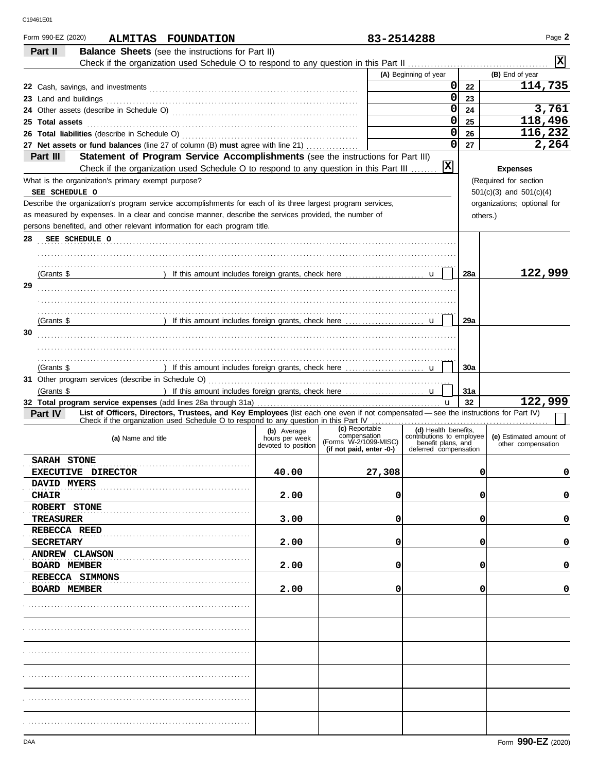| Form 990-EZ (2020)<br>ALMITAS FOUNDATION                                                                                                                                              |                                                      | 83-2514288                                                                          |                                                                                                  |          | Page 2                                        |
|---------------------------------------------------------------------------------------------------------------------------------------------------------------------------------------|------------------------------------------------------|-------------------------------------------------------------------------------------|--------------------------------------------------------------------------------------------------|----------|-----------------------------------------------|
| Part II<br><b>Balance Sheets</b> (see the instructions for Part II)                                                                                                                   |                                                      |                                                                                     |                                                                                                  |          | X                                             |
|                                                                                                                                                                                       |                                                      |                                                                                     |                                                                                                  |          |                                               |
|                                                                                                                                                                                       |                                                      |                                                                                     | (A) Beginning of year                                                                            |          | (B) End of year                               |
|                                                                                                                                                                                       |                                                      |                                                                                     | $\pmb{0}$                                                                                        | 22       | 114,735                                       |
| 23 Land and buildings                                                                                                                                                                 |                                                      |                                                                                     | 0                                                                                                | 23       |                                               |
|                                                                                                                                                                                       |                                                      |                                                                                     | 0                                                                                                | 24       | 3,761                                         |
| 25 Total assets                                                                                                                                                                       |                                                      |                                                                                     | 0                                                                                                | 25       | 118,496                                       |
| 26 Total liabilities (describe in Schedule O)                                                                                                                                         |                                                      |                                                                                     | 0                                                                                                | 26       | 116,232                                       |
| 27 Net assets or fund balances (line 27 of column (B) must agree with line 21)                                                                                                        |                                                      |                                                                                     | $\mathbf 0$                                                                                      | 27       | 2,264                                         |
| Part III<br>Statement of Program Service Accomplishments (see the instructions for Part III)<br>Check if the organization used Schedule O to respond to any question in this Part III |                                                      |                                                                                     | $\overline{\mathbf{x}}$                                                                          |          | <b>Expenses</b>                               |
| What is the organization's primary exempt purpose?                                                                                                                                    |                                                      |                                                                                     |                                                                                                  |          | (Required for section                         |
| SEE SCHEDULE O                                                                                                                                                                        |                                                      |                                                                                     |                                                                                                  |          | $501(c)(3)$ and $501(c)(4)$                   |
| Describe the organization's program service accomplishments for each of its three largest program services,                                                                           |                                                      |                                                                                     |                                                                                                  |          | organizations; optional for                   |
| as measured by expenses. In a clear and concise manner, describe the services provided, the number of                                                                                 |                                                      |                                                                                     |                                                                                                  | others.) |                                               |
| persons benefited, and other relevant information for each program title.                                                                                                             |                                                      |                                                                                     |                                                                                                  |          |                                               |
| 28<br>SEE SCHEDULE O                                                                                                                                                                  |                                                      |                                                                                     |                                                                                                  |          |                                               |
|                                                                                                                                                                                       |                                                      |                                                                                     |                                                                                                  |          |                                               |
| (Grants \$                                                                                                                                                                            |                                                      |                                                                                     |                                                                                                  | 28a      | 122,999                                       |
| 29                                                                                                                                                                                    |                                                      |                                                                                     |                                                                                                  |          |                                               |
|                                                                                                                                                                                       |                                                      |                                                                                     |                                                                                                  |          |                                               |
| (Grants \$                                                                                                                                                                            |                                                      |                                                                                     |                                                                                                  | 29a      |                                               |
| 30                                                                                                                                                                                    |                                                      |                                                                                     |                                                                                                  |          |                                               |
|                                                                                                                                                                                       |                                                      |                                                                                     |                                                                                                  |          |                                               |
| (Grants \$                                                                                                                                                                            |                                                      |                                                                                     |                                                                                                  | 30a      |                                               |
|                                                                                                                                                                                       |                                                      |                                                                                     |                                                                                                  |          |                                               |
| (Grants \$                                                                                                                                                                            |                                                      |                                                                                     |                                                                                                  | 31a      |                                               |
|                                                                                                                                                                                       |                                                      |                                                                                     | u                                                                                                | 32       | 122,999                                       |
| List of Officers, Directors, Trustees, and Key Employees (list each one even if not compensated - see the instructions for Part IV)<br>Part IV                                        |                                                      |                                                                                     |                                                                                                  |          |                                               |
| Check if the organization used Schedule O to respond to any question in this Part IV                                                                                                  |                                                      |                                                                                     |                                                                                                  |          |                                               |
| (a) Name and title                                                                                                                                                                    | (b) Average<br>hours per week<br>devoted to position | (c) Reportable<br>compensation<br>(Forms W-2/1099-MISC)<br>(if not paid, enter -0-) | (d) Health benefits.<br>contributions to employee<br>benefit plans, and<br>deferred compensation |          | (e) Estimated amount of<br>other compensation |
| <b>SARAH STONE</b>                                                                                                                                                                    |                                                      |                                                                                     |                                                                                                  |          |                                               |
| EXECUTIVE DIRECTOR                                                                                                                                                                    | 40.00                                                | 27,308                                                                              |                                                                                                  | 0        | 0                                             |
| <b>DAVID MYERS</b>                                                                                                                                                                    |                                                      |                                                                                     |                                                                                                  |          |                                               |
| <b>CHAIR</b><br>ROBERT STONE                                                                                                                                                          | 2.00                                                 | 0                                                                                   |                                                                                                  | 0        | 0                                             |
| TREASURER                                                                                                                                                                             | 3.00                                                 | 0                                                                                   |                                                                                                  | 0        | 0                                             |
| <b>REBECCA REED</b>                                                                                                                                                                   |                                                      |                                                                                     |                                                                                                  |          |                                               |
| <b>SECRETARY</b>                                                                                                                                                                      | 2.00                                                 | 0                                                                                   |                                                                                                  | 0        | 0                                             |
| <b>ANDREW CLAWSON</b>                                                                                                                                                                 |                                                      |                                                                                     |                                                                                                  |          |                                               |
| <b>BOARD MEMBER</b>                                                                                                                                                                   | 2.00                                                 | 0                                                                                   |                                                                                                  | 0        | 0                                             |
| REBECCA SIMMONS                                                                                                                                                                       |                                                      |                                                                                     |                                                                                                  |          |                                               |
| <b>BOARD MEMBER</b>                                                                                                                                                                   | 2.00                                                 | 0                                                                                   |                                                                                                  | 0        | 0                                             |
|                                                                                                                                                                                       |                                                      |                                                                                     |                                                                                                  |          |                                               |
|                                                                                                                                                                                       |                                                      |                                                                                     |                                                                                                  |          |                                               |
|                                                                                                                                                                                       |                                                      |                                                                                     |                                                                                                  |          |                                               |
|                                                                                                                                                                                       |                                                      |                                                                                     |                                                                                                  |          |                                               |
|                                                                                                                                                                                       |                                                      |                                                                                     |                                                                                                  |          |                                               |
|                                                                                                                                                                                       |                                                      |                                                                                     |                                                                                                  |          |                                               |
|                                                                                                                                                                                       |                                                      |                                                                                     |                                                                                                  |          |                                               |
|                                                                                                                                                                                       |                                                      |                                                                                     |                                                                                                  |          |                                               |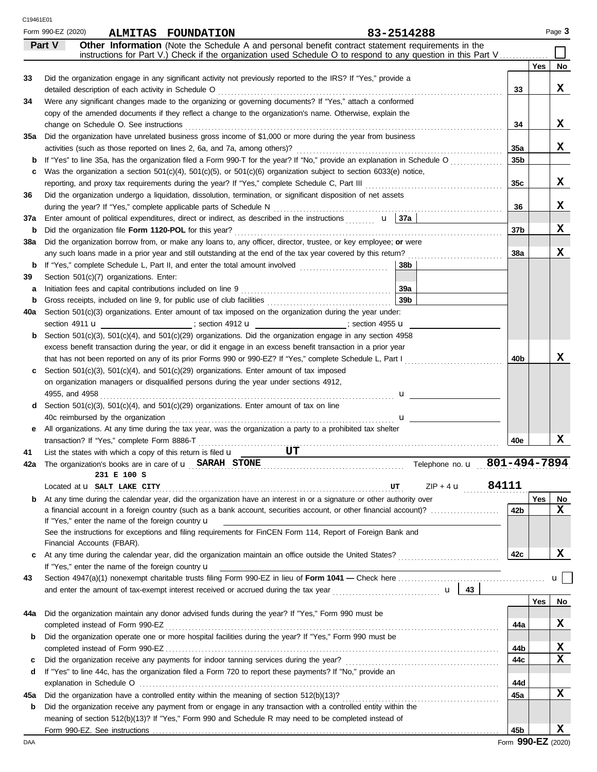|     | Form 990-EZ (2020) |                                                          | <b>ALMITAS FOUNDATION</b>                                                                       |                                                                                                                                                                                                                                                        | 83-2514288               |                 |     | Page 3 |
|-----|--------------------|----------------------------------------------------------|-------------------------------------------------------------------------------------------------|--------------------------------------------------------------------------------------------------------------------------------------------------------------------------------------------------------------------------------------------------------|--------------------------|-----------------|-----|--------|
|     | Part V             |                                                          |                                                                                                 | Other Information (Note the Schedule A and personal benefit contract statement requirements in the<br>instructions for Part V.) Check if the organization used Schedule O to respond to any question in this Part V                                    |                          |                 |     |        |
|     |                    |                                                          |                                                                                                 |                                                                                                                                                                                                                                                        |                          |                 | Yes | No     |
| 33  |                    |                                                          |                                                                                                 | Did the organization engage in any significant activity not previously reported to the IRS? If "Yes," provide a                                                                                                                                        |                          |                 |     |        |
|     |                    | detailed description of each activity in Schedule O      |                                                                                                 |                                                                                                                                                                                                                                                        |                          | 33              |     | X      |
| 34  |                    |                                                          |                                                                                                 | Were any significant changes made to the organizing or governing documents? If "Yes," attach a conformed                                                                                                                                               |                          |                 |     |        |
|     |                    |                                                          |                                                                                                 | copy of the amended documents if they reflect a change to the organization's name. Otherwise, explain the                                                                                                                                              |                          |                 |     |        |
|     |                    | change on Schedule O. See instructions                   |                                                                                                 |                                                                                                                                                                                                                                                        |                          | 34              |     | X      |
| 35a |                    |                                                          |                                                                                                 | Did the organization have unrelated business gross income of \$1,000 or more during the year from business                                                                                                                                             |                          |                 |     |        |
|     |                    |                                                          | activities (such as those reported on lines 2, 6a, and 7a, among others)?                       |                                                                                                                                                                                                                                                        |                          | 35a<br>35b      |     | X      |
| c   |                    |                                                          |                                                                                                 | If "Yes" to line 35a, has the organization filed a Form 990-T for the year? If "No," provide an explanation in Schedule O<br>Was the organization a section $501(c)(4)$ , $501(c)(5)$ , or $501(c)(6)$ organization subject to section 6033(e) notice, |                          |                 |     |        |
|     |                    |                                                          | reporting, and proxy tax requirements during the year? If "Yes," complete Schedule C, Part III  |                                                                                                                                                                                                                                                        |                          | 35c             |     | X      |
| 36  |                    |                                                          |                                                                                                 | Did the organization undergo a liquidation, dissolution, termination, or significant disposition of net assets                                                                                                                                         |                          |                 |     |        |
|     |                    |                                                          | during the year? If "Yes," complete applicable parts of Schedule N                              |                                                                                                                                                                                                                                                        |                          | 36              |     | x      |
| 37a |                    |                                                          |                                                                                                 | Enter amount of political expenditures, direct or indirect, as described in the instructions $\mathbf{u}$   37a                                                                                                                                        |                          |                 |     |        |
| b   |                    | Did the organization file Form 1120-POL for this year?   |                                                                                                 |                                                                                                                                                                                                                                                        |                          | 37b             |     | x      |
| 38a |                    |                                                          |                                                                                                 | Did the organization borrow from, or make any loans to, any officer, director, trustee, or key employee; or were                                                                                                                                       |                          |                 |     |        |
|     |                    |                                                          |                                                                                                 | any such loans made in a prior year and still outstanding at the end of the tax year covered by this return?                                                                                                                                           |                          | <b>38a</b>      |     | x      |
| b   |                    |                                                          | If "Yes," complete Schedule L, Part II, and enter the total amount involved                     |                                                                                                                                                                                                                                                        | 38b                      |                 |     |        |
| 39  |                    | Section 501(c)(7) organizations. Enter:                  |                                                                                                 |                                                                                                                                                                                                                                                        |                          |                 |     |        |
| а   |                    |                                                          | Initiation fees and capital contributions included on line 9                                    |                                                                                                                                                                                                                                                        | 39a                      |                 |     |        |
| b   |                    |                                                          | Gross receipts, included on line 9, for public use of club facilities                           |                                                                                                                                                                                                                                                        | 39 <sub>b</sub>          |                 |     |        |
| 40a |                    |                                                          |                                                                                                 | Section 501(c)(3) organizations. Enter amount of tax imposed on the organization during the year under:                                                                                                                                                |                          |                 |     |        |
|     |                    |                                                          |                                                                                                 | section 4911 <b>u</b><br><b>u</b> : section 4912 <b>u</b><br><br><b>u</b> : section 4912 <b>u</b><br><br><b>u</b> : section 4955 <b>u</b>                                                                                                              |                          |                 |     |        |
| b   |                    |                                                          |                                                                                                 | Section 501(c)(3), 501(c)(4), and 501(c)(29) organizations. Did the organization engage in any section 4958                                                                                                                                            |                          |                 |     |        |
|     |                    |                                                          |                                                                                                 | excess benefit transaction during the year, or did it engage in an excess benefit transaction in a prior year                                                                                                                                          |                          |                 |     |        |
|     |                    |                                                          |                                                                                                 | that has not been reported on any of its prior Forms 990 or 990-EZ? If "Yes," complete Schedule L, Part I                                                                                                                                              |                          | 40b             |     | x      |
|     |                    |                                                          | Section $501(c)(3)$ , $501(c)(4)$ , and $501(c)(29)$ organizations. Enter amount of tax imposed |                                                                                                                                                                                                                                                        |                          |                 |     |        |
|     |                    |                                                          | on organization managers or disqualified persons during the year under sections 4912,           |                                                                                                                                                                                                                                                        |                          |                 |     |        |
| d   | 4955, and 4958     |                                                          | Section $501(c)(3)$ , $501(c)(4)$ , and $501(c)(29)$ organizations. Enter amount of tax on line | .                                                                                                                                                                                                                                                      | u                        |                 |     |        |
|     |                    | 40c reimbursed by the organization                       |                                                                                                 |                                                                                                                                                                                                                                                        |                          |                 |     |        |
| е   |                    |                                                          |                                                                                                 | All organizations. At any time during the tax year, was the organization a party to a prohibited tax shelter                                                                                                                                           | $\mathbf{u}$             |                 |     |        |
|     |                    | transaction? If "Yes," complete Form 8886-T              |                                                                                                 |                                                                                                                                                                                                                                                        |                          | 40e             |     | x      |
| 41  |                    |                                                          | .<br>List the states with which a copy of this return is filed $\mathbf u$                      | UT                                                                                                                                                                                                                                                     |                          |                 |     |        |
|     |                    |                                                          | The organization's books are in care of $\mathbf{u}$ SARAH STONE                                |                                                                                                                                                                                                                                                        | Telephone no. u          | 801-494-7894    |     |        |
|     |                    | 231 E 100 S                                              |                                                                                                 |                                                                                                                                                                                                                                                        |                          |                 |     |        |
|     |                    | Located at <b>u</b> SALT LAKE CITY                       |                                                                                                 |                                                                                                                                                                                                                                                        | $ZIP + 4$ <b>u</b> 84111 |                 |     |        |
| b   |                    |                                                          |                                                                                                 | At any time during the calendar year, did the organization have an interest in or a signature or other authority over                                                                                                                                  |                          |                 | Yes | No     |
|     |                    |                                                          |                                                                                                 | a financial account in a foreign country (such as a bank account, securities account, or other financial account)?                                                                                                                                     |                          | 42 <sub>b</sub> |     | X      |
|     |                    | If "Yes," enter the name of the foreign country <b>u</b> |                                                                                                 |                                                                                                                                                                                                                                                        |                          |                 |     |        |
|     |                    |                                                          |                                                                                                 | See the instructions for exceptions and filing requirements for FinCEN Form 114, Report of Foreign Bank and                                                                                                                                            |                          |                 |     |        |
|     |                    | Financial Accounts (FBAR).                               |                                                                                                 |                                                                                                                                                                                                                                                        |                          |                 |     | X      |
| c   |                    |                                                          |                                                                                                 |                                                                                                                                                                                                                                                        |                          | 42c             |     |        |
| 43  |                    | If "Yes," enter the name of the foreign country u        |                                                                                                 |                                                                                                                                                                                                                                                        |                          |                 |     | ul     |
|     |                    |                                                          |                                                                                                 | and enter the amount of tax-exempt interest received or accrued during the tax year $\cdots$ $\cdots$ $\cdots$ $\cdots$ $\cdots$ $\cdots$ $\cdots$ $\cdots$ $\cdots$ $\cdots$ $\cdots$ $\cdots$                                                        |                          |                 |     |        |
|     |                    |                                                          |                                                                                                 |                                                                                                                                                                                                                                                        |                          |                 | Yes | No     |
| 44a |                    |                                                          |                                                                                                 | Did the organization maintain any donor advised funds during the year? If "Yes," Form 990 must be                                                                                                                                                      |                          |                 |     |        |
|     |                    |                                                          |                                                                                                 |                                                                                                                                                                                                                                                        |                          | 44a             |     | X      |
| b   |                    |                                                          |                                                                                                 | Did the organization operate one or more hospital facilities during the year? If "Yes," Form 990 must be                                                                                                                                               |                          |                 |     |        |
|     |                    |                                                          |                                                                                                 |                                                                                                                                                                                                                                                        |                          | 44b             |     | X      |
| c   |                    |                                                          |                                                                                                 |                                                                                                                                                                                                                                                        |                          | 44c             |     | X      |
| d   |                    |                                                          |                                                                                                 | If "Yes" to line 44c, has the organization filed a Form 720 to report these payments? If "No," provide an                                                                                                                                              |                          |                 |     |        |
|     |                    |                                                          |                                                                                                 |                                                                                                                                                                                                                                                        |                          | 44d             |     |        |
| 45a |                    |                                                          |                                                                                                 |                                                                                                                                                                                                                                                        |                          | 45a             |     | X      |
| b   |                    |                                                          |                                                                                                 | Did the organization receive any payment from or engage in any transaction with a controlled entity within the                                                                                                                                         |                          |                 |     |        |
|     |                    |                                                          |                                                                                                 | meaning of section 512(b)(13)? If "Yes," Form 990 and Schedule R may need to be completed instead of                                                                                                                                                   |                          |                 |     |        |
|     |                    |                                                          |                                                                                                 |                                                                                                                                                                                                                                                        |                          | 45b             |     | x      |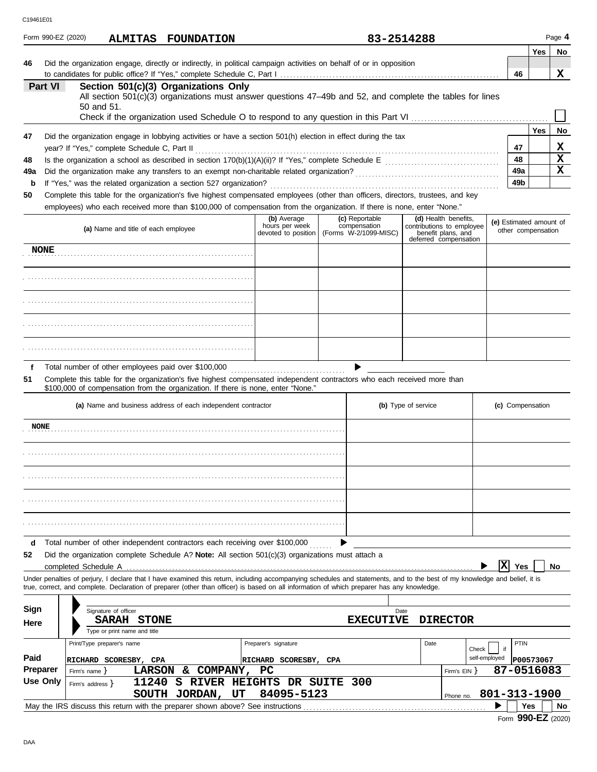| C19461E01 |  |
|-----------|--|
|           |  |

| C19461E01       |             |                                                                                                                                                                                    |                                       |  |                                       |                     |                                                                          |                         |                        |                    |           |
|-----------------|-------------|------------------------------------------------------------------------------------------------------------------------------------------------------------------------------------|---------------------------------------|--|---------------------------------------|---------------------|--------------------------------------------------------------------------|-------------------------|------------------------|--------------------|-----------|
|                 |             | Form 990-EZ (2020)<br>ALMITAS FOUNDATION                                                                                                                                           |                                       |  | 83-2514288                            |                     |                                                                          |                         |                        |                    | Page 4    |
|                 |             |                                                                                                                                                                                    |                                       |  |                                       |                     |                                                                          |                         |                        | <b>Yes</b>         | No        |
| 46              |             | Did the organization engage, directly or indirectly, in political campaign activities on behalf of or in opposition                                                                |                                       |  |                                       |                     |                                                                          |                         | 46                     |                    | x         |
|                 | Part VI     | Section 501(c)(3) Organizations Only                                                                                                                                               |                                       |  |                                       |                     |                                                                          |                         |                        |                    |           |
|                 |             | All section 501(c)(3) organizations must answer questions 47-49b and 52, and complete the tables for lines                                                                         |                                       |  |                                       |                     |                                                                          |                         |                        |                    |           |
|                 |             | 50 and 51.                                                                                                                                                                         |                                       |  |                                       |                     |                                                                          |                         |                        |                    |           |
|                 |             |                                                                                                                                                                                    |                                       |  |                                       |                     |                                                                          |                         |                        |                    |           |
| 47              |             | Did the organization engage in lobbying activities or have a section 501(h) election in effect during the tax                                                                      |                                       |  |                                       |                     |                                                                          |                         |                        | <b>Yes</b>         | No        |
|                 |             | year? If "Yes," complete Schedule C, Part II                                                                                                                                       |                                       |  |                                       |                     |                                                                          |                         |                        |                    | х         |
| 48              |             |                                                                                                                                                                                    |                                       |  |                                       |                     |                                                                          |                         | 48                     |                    | X<br>x    |
| 49a<br>b        |             | If "Yes," was the related organization a section 527 organization?                                                                                                                 |                                       |  |                                       |                     |                                                                          |                         | 49а<br>49 <sub>b</sub> |                    |           |
| 50              |             | Complete this table for the organization's five highest compensated employees (other than officers, directors, trustees, and key                                                   |                                       |  |                                       |                     |                                                                          |                         |                        |                    |           |
|                 |             | employees) who each received more than \$100,000 of compensation from the organization. If there is none, enter "None."                                                            |                                       |  |                                       |                     |                                                                          |                         |                        |                    |           |
|                 |             |                                                                                                                                                                                    | (b) Average                           |  | (c) Reportable                        |                     | (d) Health benefits,                                                     | (e) Estimated amount of |                        |                    |           |
|                 |             | (a) Name and title of each employee                                                                                                                                                | hours per week<br>devoted to position |  | compensation<br>(Forms W-2/1099-MISC) |                     | contributions to employee<br>benefit plans, and<br>deferred compensation |                         |                        | other compensation |           |
|                 | <b>NONE</b> |                                                                                                                                                                                    |                                       |  |                                       |                     |                                                                          |                         |                        |                    |           |
|                 |             |                                                                                                                                                                                    |                                       |  |                                       |                     |                                                                          |                         |                        |                    |           |
|                 |             |                                                                                                                                                                                    |                                       |  |                                       |                     |                                                                          |                         |                        |                    |           |
|                 |             |                                                                                                                                                                                    |                                       |  |                                       |                     |                                                                          |                         |                        |                    |           |
|                 |             |                                                                                                                                                                                    |                                       |  |                                       |                     |                                                                          |                         |                        |                    |           |
|                 |             |                                                                                                                                                                                    |                                       |  |                                       |                     |                                                                          |                         |                        |                    |           |
|                 |             |                                                                                                                                                                                    |                                       |  |                                       |                     |                                                                          |                         |                        |                    |           |
|                 |             |                                                                                                                                                                                    |                                       |  |                                       |                     |                                                                          |                         |                        |                    |           |
| f               |             | Total number of other employees paid over \$100,000                                                                                                                                |                                       |  |                                       |                     |                                                                          |                         |                        |                    |           |
| 51              |             | Complete this table for the organization's five highest compensated independent contractors who each received more than                                                            |                                       |  |                                       |                     |                                                                          |                         |                        |                    |           |
|                 |             | \$100,000 of compensation from the organization. If there is none, enter "None."                                                                                                   |                                       |  |                                       |                     |                                                                          |                         |                        |                    |           |
|                 |             | (a) Name and business address of each independent contractor                                                                                                                       |                                       |  |                                       | (b) Type of service |                                                                          | (c) Compensation        |                        |                    |           |
|                 | <b>NONE</b> |                                                                                                                                                                                    |                                       |  |                                       |                     |                                                                          |                         |                        |                    |           |
|                 |             |                                                                                                                                                                                    |                                       |  |                                       |                     |                                                                          |                         |                        |                    |           |
|                 |             |                                                                                                                                                                                    |                                       |  |                                       |                     |                                                                          |                         |                        |                    |           |
|                 |             |                                                                                                                                                                                    |                                       |  |                                       |                     |                                                                          |                         |                        |                    |           |
|                 |             |                                                                                                                                                                                    |                                       |  |                                       |                     |                                                                          |                         |                        |                    |           |
|                 |             |                                                                                                                                                                                    |                                       |  |                                       |                     |                                                                          |                         |                        |                    |           |
|                 |             |                                                                                                                                                                                    |                                       |  |                                       |                     |                                                                          |                         |                        |                    |           |
|                 |             |                                                                                                                                                                                    |                                       |  |                                       |                     |                                                                          |                         |                        |                    |           |
|                 |             |                                                                                                                                                                                    |                                       |  |                                       |                     |                                                                          |                         |                        |                    |           |
| d<br>52         |             | Total number of other independent contractors each receiving over \$100,000<br>Did the organization complete Schedule A? Note: All section $501(c)(3)$ organizations must attach a |                                       |  |                                       |                     |                                                                          |                         |                        |                    |           |
|                 |             |                                                                                                                                                                                    |                                       |  |                                       |                     |                                                                          | ΙX                      | <b>Yes</b>             |                    | No        |
|                 |             | Under penalties of perjury, I declare that I have examined this return, including accompanying schedules and statements, and to the best of my knowledge and belief, it is         |                                       |  |                                       |                     |                                                                          |                         |                        |                    |           |
|                 |             | true, correct, and complete. Declaration of preparer (other than officer) is based on all information of which preparer has any knowledge.                                         |                                       |  |                                       |                     |                                                                          |                         |                        |                    |           |
| Sign            |             | Signature of officer                                                                                                                                                               |                                       |  | Date                                  |                     |                                                                          |                         |                        |                    |           |
| Here            |             | SARAH STONE                                                                                                                                                                        |                                       |  | <b>EXECUTIVE</b>                      |                     | <b>DIRECTOR</b>                                                          |                         |                        |                    |           |
|                 |             | Type or print name and title                                                                                                                                                       |                                       |  |                                       |                     |                                                                          |                         |                        |                    |           |
|                 |             | Print/Type preparer's name                                                                                                                                                         | Preparer's signature                  |  |                                       | Date                | Check                                                                    | if                      | <b>PTIN</b>            |                    |           |
| Paid            |             | RICHARD SCORESBY, CPA                                                                                                                                                              | RICHARD SCORESBY, CPA                 |  |                                       |                     |                                                                          | self-employed           |                        | P00573067          |           |
| <b>Preparer</b> |             | LARSON & COMPANY,<br>Firm's name $\}$                                                                                                                                              | <b>PC</b>                             |  |                                       |                     | Firm's $EIN$ }                                                           | 87-0516083              |                        |                    |           |
|                 | Use Only    | S RIVER HEIGHTS DR SUITE<br>11240<br>Firm's address $\}$<br>SOUTH JORDAN, UT                                                                                                       | 84095-5123                            |  | 300                                   |                     | Phone no. 801-313-1900                                                   |                         |                        |                    |           |
|                 |             | May the IRS discuss this return with the preparer shown above? See instructions                                                                                                    |                                       |  |                                       |                     |                                                                          |                         | Yes                    |                    | <b>No</b> |
|                 |             |                                                                                                                                                                                    |                                       |  |                                       |                     |                                                                          |                         |                        |                    |           |

|  | Form 990-EZ (2020) |  |
|--|--------------------|--|
|--|--------------------|--|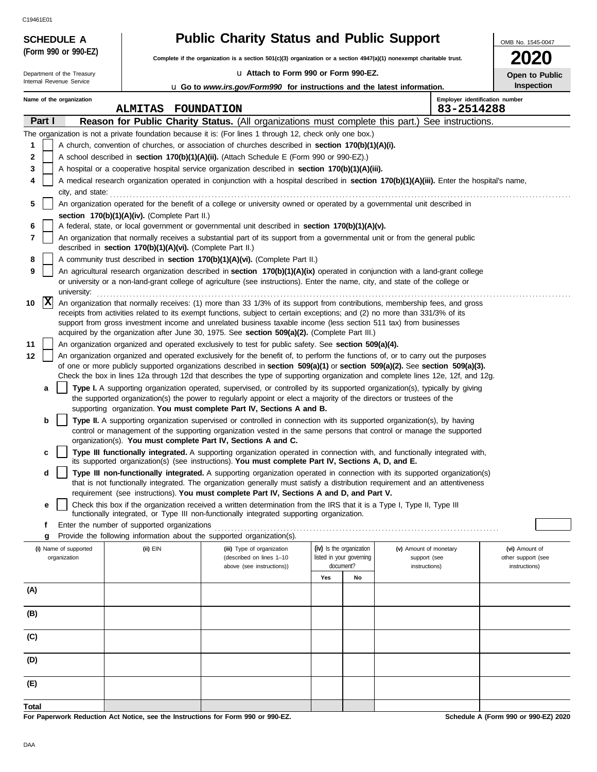Internal Revenue Service Department of the Treasury

**(Form 990 or 990-EZ)**

**SCHEDULE A** 

|  |  | <b>Public Charity Status and Public Support</b> |
|--|--|-------------------------------------------------|
|--|--|-------------------------------------------------|

**Complete if the organization is a section 501(c)(3) organization or a section 4947(a)(1) nonexempt charitable trust.**

u **Attach to Form 990 or Form 990-EZ.**

**2020 Open to Public Inspection**

OMB No. 1545-0047

| u Go to www.irs.gov/Form990 for instructions and the latest information. |
|--------------------------------------------------------------------------|
|                                                                          |

|        | Name of the organization<br>Employer identification number<br><b>ALMITAS</b><br><b>FOUNDATION</b><br>83-2514288 |                                       |                                                                        |                                                                                                                                                                                                                                                                |     |                                       |                               |  |                                     |
|--------|-----------------------------------------------------------------------------------------------------------------|---------------------------------------|------------------------------------------------------------------------|----------------------------------------------------------------------------------------------------------------------------------------------------------------------------------------------------------------------------------------------------------------|-----|---------------------------------------|-------------------------------|--|-------------------------------------|
| Part I |                                                                                                                 |                                       |                                                                        | Reason for Public Charity Status. (All organizations must complete this part.) See instructions.                                                                                                                                                               |     |                                       |                               |  |                                     |
|        |                                                                                                                 |                                       |                                                                        | The organization is not a private foundation because it is: (For lines 1 through 12, check only one box.)                                                                                                                                                      |     |                                       |                               |  |                                     |
| 1      | A church, convention of churches, or association of churches described in <b>section 170(b)(1)(A)(i).</b>       |                                       |                                                                        |                                                                                                                                                                                                                                                                |     |                                       |                               |  |                                     |
| 2      |                                                                                                                 |                                       |                                                                        | A school described in section 170(b)(1)(A)(ii). (Attach Schedule E (Form 990 or 990-EZ).)                                                                                                                                                                      |     |                                       |                               |  |                                     |
| 3      |                                                                                                                 |                                       |                                                                        | A hospital or a cooperative hospital service organization described in section 170(b)(1)(A)(iii).                                                                                                                                                              |     |                                       |                               |  |                                     |
| 4      |                                                                                                                 |                                       |                                                                        | A medical research organization operated in conjunction with a hospital described in section 170(b)(1)(A)(iii). Enter the hospital's name,                                                                                                                     |     |                                       |                               |  |                                     |
|        |                                                                                                                 |                                       |                                                                        | city, and state: <b>contract and state</b> and state and state and state and state and state and state and state and state and state and state and state and state and state and state and state and state and state and state and                             |     |                                       |                               |  |                                     |
| 5      |                                                                                                                 |                                       |                                                                        | An organization operated for the benefit of a college or university owned or operated by a governmental unit described in                                                                                                                                      |     |                                       |                               |  |                                     |
|        |                                                                                                                 |                                       | section 170(b)(1)(A)(iv). (Complete Part II.)                          |                                                                                                                                                                                                                                                                |     |                                       |                               |  |                                     |
| 6      |                                                                                                                 |                                       |                                                                        | A federal, state, or local government or governmental unit described in section 170(b)(1)(A)(v).                                                                                                                                                               |     |                                       |                               |  |                                     |
| 7      |                                                                                                                 |                                       | described in section 170(b)(1)(A)(vi). (Complete Part II.)             | An organization that normally receives a substantial part of its support from a governmental unit or from the general public                                                                                                                                   |     |                                       |                               |  |                                     |
| 8      |                                                                                                                 |                                       |                                                                        | A community trust described in section 170(b)(1)(A)(vi). (Complete Part II.)                                                                                                                                                                                   |     |                                       |                               |  |                                     |
| 9      |                                                                                                                 |                                       |                                                                        | An agricultural research organization described in section 170(b)(1)(A)(ix) operated in conjunction with a land-grant college                                                                                                                                  |     |                                       |                               |  |                                     |
|        |                                                                                                                 |                                       |                                                                        | or university or a non-land-grant college of agriculture (see instructions). Enter the name, city, and state of the college or                                                                                                                                 |     |                                       |                               |  |                                     |
|        | X                                                                                                               |                                       |                                                                        |                                                                                                                                                                                                                                                                |     |                                       |                               |  |                                     |
| 10     |                                                                                                                 |                                       |                                                                        | An organization that normally receives: (1) more than 33 1/3% of its support from contributions, membership fees, and gross<br>receipts from activities related to its exempt functions, subject to certain exceptions; and (2) no more than 331/3% of its     |     |                                       |                               |  |                                     |
|        |                                                                                                                 |                                       |                                                                        | support from gross investment income and unrelated business taxable income (less section 511 tax) from businesses                                                                                                                                              |     |                                       |                               |  |                                     |
|        |                                                                                                                 |                                       |                                                                        | acquired by the organization after June 30, 1975. See section 509(a)(2). (Complete Part III.)                                                                                                                                                                  |     |                                       |                               |  |                                     |
| 11     |                                                                                                                 |                                       |                                                                        | An organization organized and operated exclusively to test for public safety. See section 509(a)(4).                                                                                                                                                           |     |                                       |                               |  |                                     |
| 12     |                                                                                                                 |                                       |                                                                        | An organization organized and operated exclusively for the benefit of, to perform the functions of, or to carry out the purposes                                                                                                                               |     |                                       |                               |  |                                     |
|        |                                                                                                                 |                                       |                                                                        | of one or more publicly supported organizations described in section 509(a)(1) or section 509(a)(2). See section 509(a)(3).<br>Check the box in lines 12a through 12d that describes the type of supporting organization and complete lines 12e, 12f, and 12g. |     |                                       |                               |  |                                     |
|        | а                                                                                                               |                                       |                                                                        | Type I. A supporting organization operated, supervised, or controlled by its supported organization(s), typically by giving                                                                                                                                    |     |                                       |                               |  |                                     |
|        |                                                                                                                 |                                       |                                                                        | the supported organization(s) the power to regularly appoint or elect a majority of the directors or trustees of the                                                                                                                                           |     |                                       |                               |  |                                     |
|        |                                                                                                                 |                                       |                                                                        | supporting organization. You must complete Part IV, Sections A and B.                                                                                                                                                                                          |     |                                       |                               |  |                                     |
|        | b                                                                                                               |                                       |                                                                        | Type II. A supporting organization supervised or controlled in connection with its supported organization(s), by having                                                                                                                                        |     |                                       |                               |  |                                     |
|        |                                                                                                                 |                                       |                                                                        | control or management of the supporting organization vested in the same persons that control or manage the supported<br>organization(s). You must complete Part IV, Sections A and C.                                                                          |     |                                       |                               |  |                                     |
|        | c                                                                                                               |                                       |                                                                        | Type III functionally integrated. A supporting organization operated in connection with, and functionally integrated with,                                                                                                                                     |     |                                       |                               |  |                                     |
|        |                                                                                                                 |                                       |                                                                        | its supported organization(s) (see instructions). You must complete Part IV, Sections A, D, and E.                                                                                                                                                             |     |                                       |                               |  |                                     |
|        | d                                                                                                               |                                       |                                                                        | Type III non-functionally integrated. A supporting organization operated in connection with its supported organization(s)                                                                                                                                      |     |                                       |                               |  |                                     |
|        |                                                                                                                 |                                       |                                                                        | that is not functionally integrated. The organization generally must satisfy a distribution requirement and an attentiveness<br>requirement (see instructions). You must complete Part IV, Sections A and D, and Part V.                                       |     |                                       |                               |  |                                     |
|        | е                                                                                                               |                                       |                                                                        | Check this box if the organization received a written determination from the IRS that it is a Type I, Type II, Type III                                                                                                                                        |     |                                       |                               |  |                                     |
|        |                                                                                                                 |                                       |                                                                        | functionally integrated, or Type III non-functionally integrated supporting organization.                                                                                                                                                                      |     |                                       |                               |  |                                     |
|        |                                                                                                                 |                                       | Enter the number of supported organizations                            |                                                                                                                                                                                                                                                                |     |                                       |                               |  |                                     |
|        | g                                                                                                               |                                       | Provide the following information about the supported organization(s). |                                                                                                                                                                                                                                                                |     |                                       |                               |  |                                     |
|        |                                                                                                                 | (i) Name of supported<br>organization | (ii) EIN                                                               | (iii) Type of organization                                                                                                                                                                                                                                     |     | (iv) Is the organization              | (v) Amount of monetary        |  | (vi) Amount of                      |
|        |                                                                                                                 |                                       |                                                                        | (described on lines 1-10<br>above (see instructions))                                                                                                                                                                                                          |     | listed in your governing<br>document? | support (see<br>instructions) |  | other support (see<br>instructions) |
|        |                                                                                                                 |                                       |                                                                        |                                                                                                                                                                                                                                                                | Yes | No                                    |                               |  |                                     |
| (A)    |                                                                                                                 |                                       |                                                                        |                                                                                                                                                                                                                                                                |     |                                       |                               |  |                                     |
|        |                                                                                                                 |                                       |                                                                        |                                                                                                                                                                                                                                                                |     |                                       |                               |  |                                     |
| (B)    |                                                                                                                 |                                       |                                                                        |                                                                                                                                                                                                                                                                |     |                                       |                               |  |                                     |
|        |                                                                                                                 |                                       |                                                                        |                                                                                                                                                                                                                                                                |     |                                       |                               |  |                                     |
| (C)    |                                                                                                                 |                                       |                                                                        |                                                                                                                                                                                                                                                                |     |                                       |                               |  |                                     |
|        |                                                                                                                 |                                       |                                                                        |                                                                                                                                                                                                                                                                |     |                                       |                               |  |                                     |
| (D)    |                                                                                                                 |                                       |                                                                        |                                                                                                                                                                                                                                                                |     |                                       |                               |  |                                     |
|        |                                                                                                                 |                                       |                                                                        |                                                                                                                                                                                                                                                                |     |                                       |                               |  |                                     |
| (E)    |                                                                                                                 |                                       |                                                                        |                                                                                                                                                                                                                                                                |     |                                       |                               |  |                                     |
| Total  |                                                                                                                 |                                       |                                                                        |                                                                                                                                                                                                                                                                |     |                                       |                               |  |                                     |

**For Paperwork Reduction Act Notice, see the Instructions for Form 990 or 990-EZ.**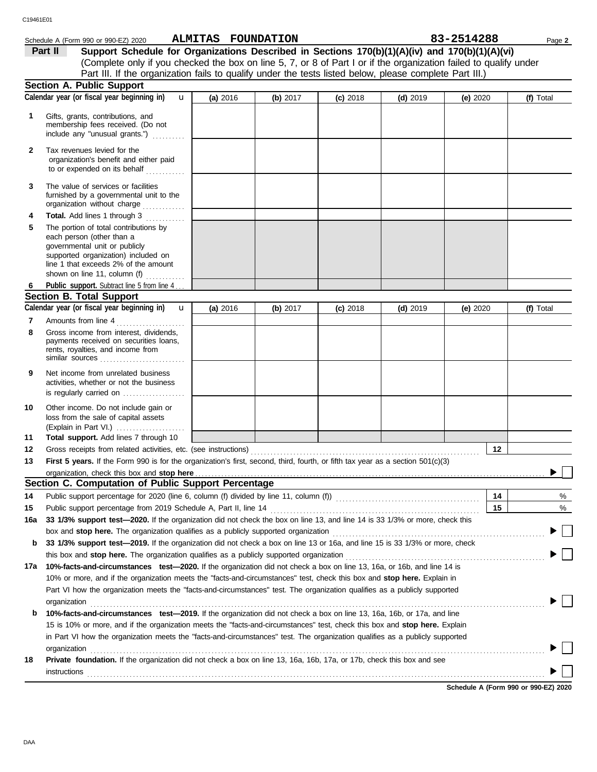|              | Schedule A (Form 990 or 990-EZ) 2020                                                                                                                                                                                           | ALMITAS FOUNDATION |          |            |            | 83-2514288 | Page 2    |
|--------------|--------------------------------------------------------------------------------------------------------------------------------------------------------------------------------------------------------------------------------|--------------------|----------|------------|------------|------------|-----------|
|              | Support Schedule for Organizations Described in Sections 170(b)(1)(A)(iv) and 170(b)(1)(A)(vi)<br>Part II                                                                                                                      |                    |          |            |            |            |           |
|              | (Complete only if you checked the box on line 5, 7, or 8 of Part I or if the organization failed to qualify under                                                                                                              |                    |          |            |            |            |           |
|              | Part III. If the organization fails to qualify under the tests listed below, please complete Part III.)                                                                                                                        |                    |          |            |            |            |           |
|              | <b>Section A. Public Support</b>                                                                                                                                                                                               |                    |          |            |            |            |           |
|              | Calendar year (or fiscal year beginning in)<br>$\mathbf{u}$                                                                                                                                                                    | (a) 2016           | (b) 2017 | $(c)$ 2018 | $(d)$ 2019 | (e) 2020   | (f) Total |
| 1            | Gifts, grants, contributions, and<br>membership fees received. (Do not<br>include any "unusual grants.")                                                                                                                       |                    |          |            |            |            |           |
| $\mathbf{2}$ | Tax revenues levied for the<br>organization's benefit and either paid<br>to or expended on its behalf                                                                                                                          |                    |          |            |            |            |           |
| 3            | The value of services or facilities<br>furnished by a governmental unit to the<br>organization without charge                                                                                                                  |                    |          |            |            |            |           |
| 4            | <b>Total.</b> Add lines 1 through 3<br>.                                                                                                                                                                                       |                    |          |            |            |            |           |
| 5            | The portion of total contributions by<br>each person (other than a<br>governmental unit or publicly<br>supported organization) included on<br>line 1 that exceeds 2% of the amount<br>shown on line 11, column (f) $\ldots$    |                    |          |            |            |            |           |
| 6            | Public support. Subtract line 5 from line 4                                                                                                                                                                                    |                    |          |            |            |            |           |
|              | <b>Section B. Total Support</b>                                                                                                                                                                                                |                    |          |            |            |            |           |
|              | Calendar year (or fiscal year beginning in)<br>$\mathbf{u}$                                                                                                                                                                    | (a) 2016           | (b) 2017 | $(c)$ 2018 | $(d)$ 2019 | (e) 2020   | (f) Total |
| 7<br>8       | Amounts from line 4<br>Gross income from interest, dividends,<br>payments received on securities loans,<br>rents, royalties, and income from<br>similar sources                                                                |                    |          |            |            |            |           |
| 9            | Net income from unrelated business<br>activities, whether or not the business<br>is regularly carried on                                                                                                                       |                    |          |            |            |            |           |
| 10<br>11     | Other income. Do not include gain or<br>loss from the sale of capital assets<br>(Explain in Part VI.)<br>Total support. Add lines 7 through 10                                                                                 |                    |          |            |            |            |           |
| 12           | Gross receipts from related activities, etc. (see instructions)                                                                                                                                                                |                    |          |            |            | 12         |           |
| 13           | First 5 years. If the Form 990 is for the organization's first, second, third, fourth, or fifth tax year as a section 501(c)(3)                                                                                                |                    |          |            |            |            |           |
|              |                                                                                                                                                                                                                                |                    |          |            |            |            |           |
|              | Section C. Computation of Public Support Percentage                                                                                                                                                                            |                    |          |            |            |            |           |
| 14           | Public support percentage for 2020 (line 6, column (f) divided by line 11, column (f)) [[[[[[[[[[[[[[[[[[[[[[                                                                                                                  |                    |          |            |            | 14         | %         |
| 15           | Public support percentage from 2019 Schedule A, Part II, line 14                                                                                                                                                               |                    |          |            |            | 15         | %         |
| 16a          | 33 1/3% support test-2020. If the organization did not check the box on line 13, and line 14 is 33 1/3% or more, check this                                                                                                    |                    |          |            |            |            |           |
|              | box and stop here. The organization qualifies as a publicly supported organization [11] content content content content content of the state of the state of the state of the state of the state or state or state or state or |                    |          |            |            |            |           |
| b            | 33 1/3% support test-2019. If the organization did not check a box on line 13 or 16a, and line 15 is 33 1/3% or more, check                                                                                                    |                    |          |            |            |            |           |
|              | this box and stop here. The organization qualifies as a publicly supported organization [11] content content content content or the content of the state of the content of the content of the state or the content of the stat |                    |          |            |            |            |           |
| 17a          | 10%-facts-and-circumstances test-2020. If the organization did not check a box on line 13, 16a, or 16b, and line 14 is                                                                                                         |                    |          |            |            |            |           |
|              | 10% or more, and if the organization meets the "facts-and-circumstances" test, check this box and stop here. Explain in                                                                                                        |                    |          |            |            |            |           |
|              | Part VI how the organization meets the "facts-and-circumstances" test. The organization qualifies as a publicly supported                                                                                                      |                    |          |            |            |            |           |
|              | organization                                                                                                                                                                                                                   |                    |          |            |            |            |           |
| b            | 10%-facts-and-circumstances test-2019. If the organization did not check a box on line 13, 16a, 16b, or 17a, and line                                                                                                          |                    |          |            |            |            |           |
|              | 15 is 10% or more, and if the organization meets the "facts-and-circumstances" test, check this box and stop here. Explain                                                                                                     |                    |          |            |            |            |           |
|              | in Part VI how the organization meets the "facts-and-circumstances" test. The organization qualifies as a publicly supported                                                                                                   |                    |          |            |            |            |           |
|              | organization                                                                                                                                                                                                                   |                    |          |            |            |            |           |
| 18           | Private foundation. If the organization did not check a box on line 13, 16a, 16b, 17a, or 17b, check this box and see                                                                                                          |                    |          |            |            |            |           |
|              | instructions                                                                                                                                                                                                                   |                    |          |            |            |            |           |

**Schedule A (Form 990 or 990-EZ) 2020**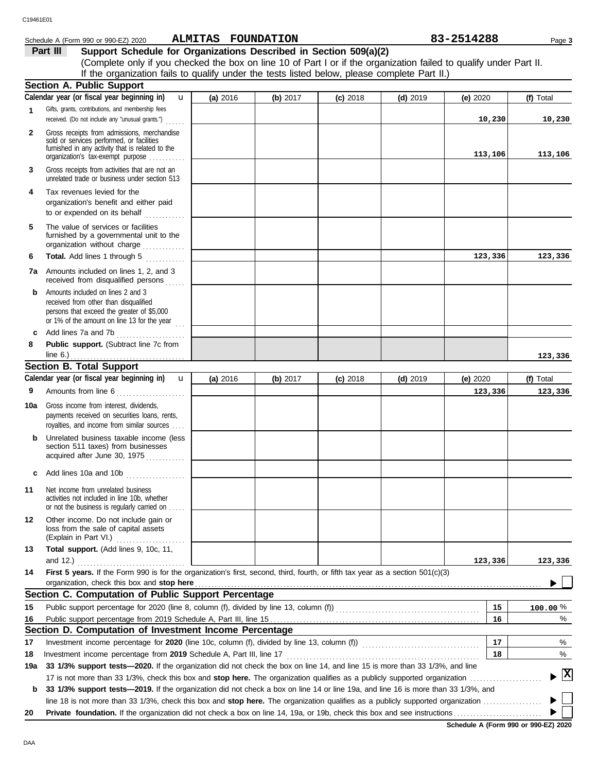### **ALMITAS FOUNDATION 83-2514288**

| Schedule A (Form 990 or 990-EZ) 2020                                                                                                                                                                               |              | ALMITAS FOUNDATION |            |            |            | 83-2514288 | Page 3    |  |
|--------------------------------------------------------------------------------------------------------------------------------------------------------------------------------------------------------------------|--------------|--------------------|------------|------------|------------|------------|-----------|--|
| Part III<br>Support Schedule for Organizations Described in Section 509(a)(2)                                                                                                                                      |              |                    |            |            |            |            |           |  |
| (Complete only if you checked the box on line 10 of Part I or if the organization failed to qualify under Part II.<br>If the organization fails to qualify under the tests listed below, please complete Part II.) |              |                    |            |            |            |            |           |  |
| <b>Section A. Public Support</b>                                                                                                                                                                                   |              |                    |            |            |            |            |           |  |
| Calendar year (or fiscal year beginning in)                                                                                                                                                                        | $\mathbf{u}$ | (a) $2016$         | (b) $2017$ | $(c)$ 2018 | $(d)$ 2019 | (e) $2020$ | (f) Total |  |
| <b>4</b> Cifts graphs contributions and momborship foos                                                                                                                                                            |              |                    |            |            |            |            |           |  |

|              | Calcridar year (or riscar year beginning my                                                                                                                                            | <b>a</b> zuio | $\omega$ $\omega$ | סו טג נטן  | la) ko is  | <b>(e)</b> coco | li) i vidi   |
|--------------|----------------------------------------------------------------------------------------------------------------------------------------------------------------------------------------|---------------|-------------------|------------|------------|-----------------|--------------|
| 1            | Gifts, grants, contributions, and membership fees<br>received. (Do not include any "unusual grants.")                                                                                  |               |                   |            |            | 10,230          | 10,230       |
| $\mathbf{2}$ | Gross receipts from admissions, merchandise<br>sold or services performed, or facilities<br>furnished in any activity that is related to the<br>organization's tax-exempt purpose      |               |                   |            |            | 113,106         | 113,106      |
| 3            | Gross receipts from activities that are not an<br>unrelated trade or business under section 513                                                                                        |               |                   |            |            |                 |              |
| 4            | Tax revenues levied for the<br>organization's benefit and either paid<br>to or expended on its behalf                                                                                  |               |                   |            |            |                 |              |
| 5            | The value of services or facilities<br>furnished by a governmental unit to the<br>organization without charge                                                                          |               |                   |            |            |                 |              |
| 6            | Total. Add lines 1 through 5                                                                                                                                                           |               |                   |            |            | 123,336         | 123,336      |
| 7a           | Amounts included on lines 1, 2, and 3<br>received from disqualified persons                                                                                                            |               |                   |            |            |                 |              |
| b            | Amounts included on lines 2 and 3<br>received from other than disqualified<br>persons that exceed the greater of \$5,000<br>or 1% of the amount on line 13 for the year<br>$\cdots$    |               |                   |            |            |                 |              |
| c            | Add lines 7a and 7b<br>.                                                                                                                                                               |               |                   |            |            |                 |              |
| 8            | Public support. (Subtract line 7c from                                                                                                                                                 |               |                   |            |            |                 |              |
|              |                                                                                                                                                                                        |               |                   |            |            |                 | 123,336      |
|              | <b>Section B. Total Support</b>                                                                                                                                                        |               |                   |            |            |                 |              |
|              | Calendar year (or fiscal year beginning in)<br>$\mathbf{u}$                                                                                                                            | (a) 2016      | (b) 2017          | $(c)$ 2018 | $(d)$ 2019 | (e) 2020        | (f) Total    |
| 9            | Amounts from line 6<br>. <b>.</b>                                                                                                                                                      |               |                   |            |            | 123,336         | 123,336      |
| 10a          | Gross income from interest, dividends,<br>payments received on securities loans, rents,<br>royalties, and income from similar sources                                                  |               |                   |            |            |                 |              |
| b            | Unrelated business taxable income (less<br>section 511 taxes) from businesses<br>acquired after June 30, 1975                                                                          |               |                   |            |            |                 |              |
| c            | Add lines 10a and 10b                                                                                                                                                                  |               |                   |            |            |                 |              |
| 11           | Net income from unrelated business<br>activities not included in line 10b, whether<br>or not the business is regularly carried on                                                      |               |                   |            |            |                 |              |
| 12           | Other income. Do not include gain or<br>loss from the sale of capital assets<br>(Explain in Part VI.)                                                                                  |               |                   |            |            |                 |              |
| 13           | Total support. (Add lines 9, 10c, 11,                                                                                                                                                  |               |                   |            |            |                 |              |
|              | and $12.$ )                                                                                                                                                                            |               |                   |            |            | 123,336         | 123,336      |
| 14           | First 5 years. If the Form 990 is for the organization's first, second, third, fourth, or fifth tax year as a section 501(c)(3)                                                        |               |                   |            |            |                 |              |
|              | organization, check this box and stop here                                                                                                                                             |               |                   |            |            |                 |              |
|              | Section C. Computation of Public Support Percentage                                                                                                                                    |               |                   |            |            |                 |              |
| 15           | Public support percentage for 2020 (line 8, column (f), divided by line 13, column (f)) [[[[[[[[[[[[[[[[[[[[[                                                                          |               |                   |            |            | 15              | $100.00\%$   |
| 16           |                                                                                                                                                                                        |               |                   |            |            | 16              | ℅            |
|              | Section D. Computation of Investment Income Percentage                                                                                                                                 |               |                   |            |            |                 |              |
| 17           | Investment income percentage for 2020 (line 10c, column (f), divided by line 13, column (f)) [[[[[[[[[[[[[[[[[<br>Investment income percentage from 2019 Schedule A, Part III, line 17 |               |                   |            |            | 17<br>18        | %<br>%       |
| 18           | 33 1/3% support tests-2020. If the organization did not check the box on line 14, and line 15 is more than 33 1/3%, and line                                                           |               |                   |            |            |                 |              |
| 19a          |                                                                                                                                                                                        |               |                   |            |            |                 | $\mathbf{x}$ |
| b            | 33 1/3% support tests—2019. If the organization did not check a box on line 14 or line 19a, and line 16 is more than 33 1/3%, and                                                      |               |                   |            |            |                 |              |
|              |                                                                                                                                                                                        |               |                   |            |            |                 |              |
| 20           |                                                                                                                                                                                        |               |                   |            |            |                 |              |
|              |                                                                                                                                                                                        |               |                   |            |            |                 |              |

**Schedule A (Form 990 or 990-EZ) 2020**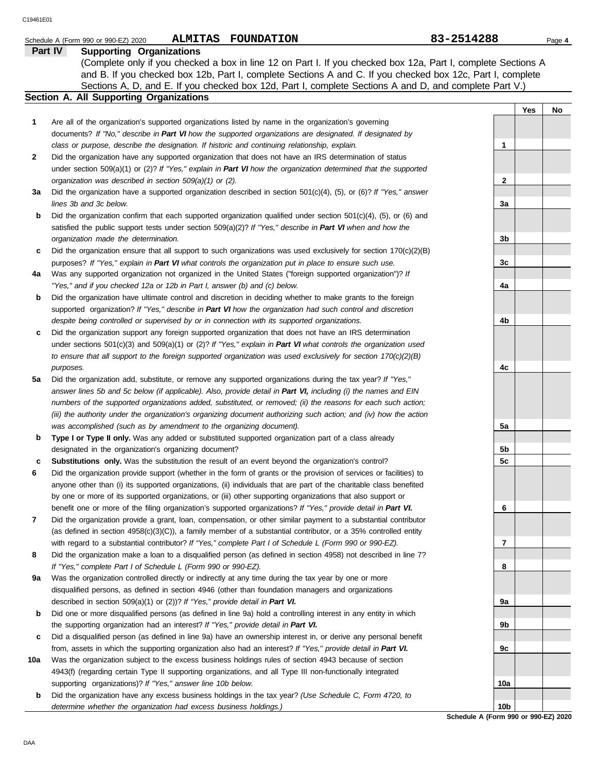|     | ALMITAS FOUNDATION<br>Schedule A (Form 990 or 990-EZ) 2020                                                                                                                                                                  | 83-2514288   |     | Page 4 |
|-----|-----------------------------------------------------------------------------------------------------------------------------------------------------------------------------------------------------------------------------|--------------|-----|--------|
|     | <b>Supporting Organizations</b><br><b>Part IV</b>                                                                                                                                                                           |              |     |        |
|     | (Complete only if you checked a box in line 12 on Part I. If you checked box 12a, Part I, complete Sections A<br>and B. If you checked box 12b, Part I, complete Sections A and C. If you checked box 12c, Part I, complete |              |     |        |
|     | Sections A, D, and E. If you checked box 12d, Part I, complete Sections A and D, and complete Part V.)                                                                                                                      |              |     |        |
|     | Section A. All Supporting Organizations                                                                                                                                                                                     |              |     |        |
|     |                                                                                                                                                                                                                             |              | Yes | No     |
| 1   | Are all of the organization's supported organizations listed by name in the organization's governing                                                                                                                        |              |     |        |
|     | documents? If "No," describe in Part VI how the supported organizations are designated. If designated by                                                                                                                    |              |     |        |
|     | class or purpose, describe the designation. If historic and continuing relationship, explain.                                                                                                                               | 1            |     |        |
| 2   | Did the organization have any supported organization that does not have an IRS determination of status                                                                                                                      |              |     |        |
|     | under section 509(a)(1) or (2)? If "Yes," explain in Part VI how the organization determined that the supported                                                                                                             |              |     |        |
|     | organization was described in section 509(a)(1) or (2).                                                                                                                                                                     | $\mathbf{2}$ |     |        |
| За  | Did the organization have a supported organization described in section $501(c)(4)$ , $(5)$ , or $(6)$ ? If "Yes," answer                                                                                                   |              |     |        |
|     | lines 3b and 3c below.                                                                                                                                                                                                      | 3a           |     |        |
| b   | Did the organization confirm that each supported organization qualified under section $501(c)(4)$ , $(5)$ , or $(6)$ and                                                                                                    |              |     |        |
|     | satisfied the public support tests under section 509(a)(2)? If "Yes," describe in Part VI when and how the                                                                                                                  |              |     |        |
|     | organization made the determination.                                                                                                                                                                                        | 3b           |     |        |
| c   | Did the organization ensure that all support to such organizations was used exclusively for section $170(c)(2)(B)$                                                                                                          |              |     |        |
|     | purposes? If "Yes," explain in Part VI what controls the organization put in place to ensure such use.                                                                                                                      | 3c           |     |        |
| 4a  | Was any supported organization not organized in the United States ("foreign supported organization")? If                                                                                                                    |              |     |        |
|     | "Yes," and if you checked 12a or 12b in Part I, answer (b) and (c) below.                                                                                                                                                   | 4a           |     |        |
| b   | Did the organization have ultimate control and discretion in deciding whether to make grants to the foreign                                                                                                                 |              |     |        |
|     | supported organization? If "Yes," describe in Part VI how the organization had such control and discretion                                                                                                                  |              |     |        |
|     | despite being controlled or supervised by or in connection with its supported organizations.                                                                                                                                | 4b           |     |        |
| c   | Did the organization support any foreign supported organization that does not have an IRS determination                                                                                                                     |              |     |        |
|     | under sections $501(c)(3)$ and $509(a)(1)$ or (2)? If "Yes," explain in Part VI what controls the organization used                                                                                                         |              |     |        |
|     | to ensure that all support to the foreign supported organization was used exclusively for section $170(c)(2)(B)$                                                                                                            |              |     |        |
|     | purposes.                                                                                                                                                                                                                   | 4c           |     |        |
| 5a  | Did the organization add, substitute, or remove any supported organizations during the tax year? If "Yes,"                                                                                                                  |              |     |        |
|     | answer lines 5b and 5c below (if applicable). Also, provide detail in Part VI, including (i) the names and EIN                                                                                                              |              |     |        |
|     | numbers of the supported organizations added, substituted, or removed; (ii) the reasons for each such action;                                                                                                               |              |     |        |
|     | (iii) the authority under the organization's organizing document authorizing such action; and (iv) how the action                                                                                                           |              |     |        |
|     | was accomplished (such as by amendment to the organizing document).                                                                                                                                                         | 5a           |     |        |
| b   | Type I or Type II only. Was any added or substituted supported organization part of a class already                                                                                                                         |              |     |        |
|     | designated in the organization's organizing document?                                                                                                                                                                       | 5b           |     |        |
| c   | Substitutions only. Was the substitution the result of an event beyond the organization's control?                                                                                                                          | 5c           |     |        |
| 6   | Did the organization provide support (whether in the form of grants or the provision of services or facilities) to                                                                                                          |              |     |        |
|     | anyone other than (i) its supported organizations, (ii) individuals that are part of the charitable class benefited                                                                                                         |              |     |        |
|     | by one or more of its supported organizations, or (iii) other supporting organizations that also support or                                                                                                                 |              |     |        |
|     | benefit one or more of the filing organization's supported organizations? If "Yes," provide detail in Part VI.                                                                                                              | 6            |     |        |
| 7   | Did the organization provide a grant, loan, compensation, or other similar payment to a substantial contributor                                                                                                             |              |     |        |
|     | (as defined in section $4958(c)(3)(C)$ ), a family member of a substantial contributor, or a 35% controlled entity                                                                                                          |              |     |        |
|     | with regard to a substantial contributor? If "Yes," complete Part I of Schedule L (Form 990 or 990-EZ).                                                                                                                     | 7            |     |        |
| 8   | Did the organization make a loan to a disqualified person (as defined in section 4958) not described in line 7?                                                                                                             |              |     |        |
|     | If "Yes," complete Part I of Schedule L (Form 990 or 990-EZ).                                                                                                                                                               | 8            |     |        |
| 9а  | Was the organization controlled directly or indirectly at any time during the tax year by one or more                                                                                                                       |              |     |        |
|     | disqualified persons, as defined in section 4946 (other than foundation managers and organizations                                                                                                                          |              |     |        |
|     | described in section 509(a)(1) or (2))? If "Yes," provide detail in Part VI.                                                                                                                                                | 9а           |     |        |
| b   | Did one or more disqualified persons (as defined in line 9a) hold a controlling interest in any entity in which                                                                                                             |              |     |        |
|     | the supporting organization had an interest? If "Yes," provide detail in Part VI.                                                                                                                                           | 9b           |     |        |
| c   | Did a disqualified person (as defined in line 9a) have an ownership interest in, or derive any personal benefit                                                                                                             |              |     |        |
|     | from, assets in which the supporting organization also had an interest? If "Yes," provide detail in Part VI.                                                                                                                | 9с           |     |        |
| 10a | Was the organization subject to the excess business holdings rules of section 4943 because of section                                                                                                                       |              |     |        |
|     | 4943(f) (regarding certain Type II supporting organizations, and all Type III non-functionally integrated                                                                                                                   |              |     |        |
|     | supporting organizations)? If "Yes," answer line 10b below.<br>Did the examination have any exaces business beldings in the tax year? (Lee Cabadule C, Ferm 1720, to                                                        | 10a          |     |        |

**b** Did the organization have any excess business holdings in the tax year? *(Use Schedule C, Form 4720, to determine whether the organization had excess business holdings.)*

**Schedule A (Form 990 or 990-EZ) 2020 10b**

DAA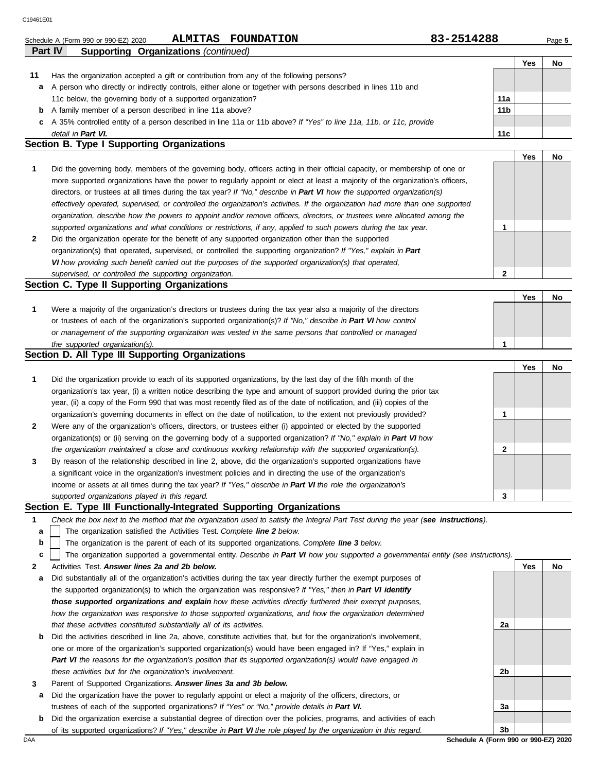|                | Schedule A (Form 990 or 990-EZ) 2020                                                                           | <b>ALMITAS</b> | <b>FOUNDATION</b>                                                                                                  | 83-2514288 |                 |     | Page 5 |
|----------------|----------------------------------------------------------------------------------------------------------------|----------------|--------------------------------------------------------------------------------------------------------------------|------------|-----------------|-----|--------|
| <b>Part IV</b> | <b>Supporting Organizations (continued)</b>                                                                    |                |                                                                                                                    |            |                 |     |        |
|                |                                                                                                                |                |                                                                                                                    |            |                 | Yes | No     |
| 11             |                                                                                                                |                | Has the organization accepted a gift or contribution from any of the following persons?                            |            |                 |     |        |
| a              | A person who directly or indirectly controls, either alone or together with persons described in lines 11b and |                |                                                                                                                    |            |                 |     |        |
|                | 11c below, the governing body of a supported organization?                                                     |                |                                                                                                                    |            | 11a             |     |        |
| b              | A family member of a person described in line 11a above?                                                       |                |                                                                                                                    |            | 11 <sub>b</sub> |     |        |
| c              |                                                                                                                |                | A 35% controlled entity of a person described in line 11a or 11b above? If "Yes" to line 11a, 11b, or 11c, provide |            |                 |     |        |
|                | detail in Part VI.                                                                                             |                |                                                                                                                    |            | 11c             |     |        |
|                | Soction <b>P. Type I Supporting Organizations</b>                                                              |                |                                                                                                                    |            |                 |     |        |

#### **Section B. Type I Supporting Organizations**

**2 1** *supported organizations and what conditions or restrictions, if any, applied to such powers during the tax year. organization, describe how the powers to appoint and/or remove officers, directors, or trustees were allocated among the effectively operated, supervised, or controlled the organization's activities. If the organization had more than one supported* directors, or trustees at all times during the tax year? *If "No," describe in Part VI how the supported organization(s)* more supported organizations have the power to regularly appoint or elect at least a majority of the organization's officers, Did the governing body, members of the governing body, officers acting in their official capacity, or membership of one or Did the organization operate for the benefit of any supported organization other than the supported organization(s) that operated, supervised, or controlled the supporting organization? *If "Yes," explain in Part*  **1**

*VI how providing such benefit carried out the purposes of the supported organization(s) that operated,* 

#### *supervised, or controlled the supporting organization.* **Section C. Type II Supporting Organizations**

|                                                                                                                  |  | <b>No</b> |
|------------------------------------------------------------------------------------------------------------------|--|-----------|
| Were a majority of the organization's directors or trustees during the tax year also a majority of the directors |  |           |
| or trustees of each of the organization's supported organization(s)? If "No," describe in Part VI how control    |  |           |
| or management of the supporting organization was vested in the same persons that controlled or managed           |  |           |
| the supported organization(s).                                                                                   |  |           |

#### **Section D. All Type III Supporting Organizations**

|                |                                                                                                                        |   | Yes | No |
|----------------|------------------------------------------------------------------------------------------------------------------------|---|-----|----|
| $\mathbf{1}$   | Did the organization provide to each of its supported organizations, by the last day of the fifth month of the         |   |     |    |
|                | organization's tax year, (i) a written notice describing the type and amount of support provided during the prior tax  |   |     |    |
|                | year, (ii) a copy of the Form 990 that was most recently filed as of the date of notification, and (iii) copies of the |   |     |    |
|                | organization's governing documents in effect on the date of notification, to the extent not previously provided?       |   |     |    |
| $\overline{2}$ | Were any of the organization's officers, directors, or trustees either (i) appointed or elected by the supported       |   |     |    |
|                | organization(s) or (ii) serving on the governing body of a supported organization? If "No," explain in Part VI how     |   |     |    |
|                | the organization maintained a close and continuous working relationship with the supported organization(s).            | າ |     |    |
| $\mathbf{3}$   | By reason of the relationship described in line 2, above, did the organization's supported organizations have          |   |     |    |
|                | a significant voice in the organization's investment policies and in directing the use of the organization's           |   |     |    |
|                | income or assets at all times during the tax year? If "Yes," describe in Part VI the role the organization's           |   |     |    |
|                | supported organizations played in this regard.                                                                         | 3 |     |    |

#### **Section E. Type III Functionally-Integrated Supporting Organizations**

- **1** *Check the box next to the method that the organization used to satisfy the Integral Part Test during the year (see instructions).*
	- The organization satisfied the Activities Test. *Complete line 2 below.* **a**
	- The organization is the parent of each of its supported organizations. *Complete line 3 below.* **b**

The organization supported a governmental entity. *Describe in Part VI how you supported a governmental entity (see instructions).* **c**

- **2** Activities Test. *Answer lines 2a and 2b below.*
- **a** Did substantially all of the organization's activities during the tax year directly further the exempt purposes of the supported organization(s) to which the organization was responsive? *If "Yes," then in Part VI identify those supported organizations and explain how these activities directly furthered their exempt purposes,*  how the organization was responsive to those supported organizations, and how the organization determined *that these activities constituted substantially all of its activities.*
- **b** Did the activities described in line 2a, above, constitute activities that, but for the organization's involvement, one or more of the organization's supported organization(s) would have been engaged in? If "Yes," explain in *Part VI the reasons for the organization's position that its supported organization(s) would have engaged in these activities but for the organization's involvement.*
- **3** Parent of Supported Organizations. *Answer lines 3a and 3b below.*
- **a** Did the organization have the power to regularly appoint or elect a majority of the officers, directors, or trustees of each of the supported organizations? *If "Yes" or "No," provide details in Part VI.*
- **b** Did the organization exercise a substantial degree of direction over the policies, programs, and activities of each of its supported organizations? *If "Yes," describe in Part VI the role played by the organization in this regard.*

**Yes No 2a 2b 3a 3b**

**2**

**Yes No**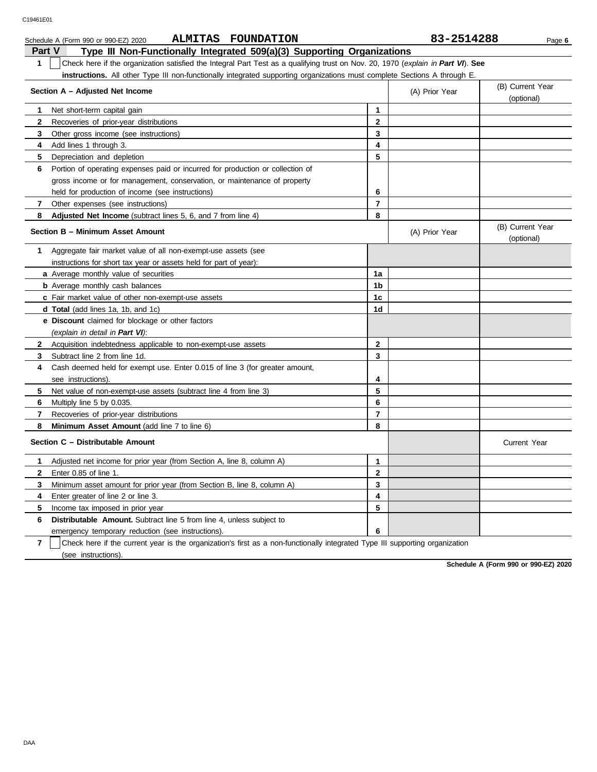| Schedule A (Form 990 or 990-EZ) 2020 | <b>ALMITAS</b> | <b>FOUNDATION</b> | 83-2514288 | Page 6 |
|--------------------------------------|----------------|-------------------|------------|--------|

| Part V       | Type III Non-Functionally Integrated 509(a)(3) Supporting Organizations                                                          |                |                                |                                |  |  |  |  |
|--------------|----------------------------------------------------------------------------------------------------------------------------------|----------------|--------------------------------|--------------------------------|--|--|--|--|
| 1            | Check here if the organization satisfied the Integral Part Test as a qualifying trust on Nov. 20, 1970 (explain in Part VI). See |                |                                |                                |  |  |  |  |
|              | <b>instructions.</b> All other Type III non-functionally integrated supporting organizations must complete Sections A through E. |                |                                |                                |  |  |  |  |
|              | Section A - Adjusted Net Income                                                                                                  | (A) Prior Year | (B) Current Year<br>(optional) |                                |  |  |  |  |
| 1.           | Net short-term capital gain                                                                                                      | $\mathbf{1}$   |                                |                                |  |  |  |  |
| $\mathbf{2}$ | Recoveries of prior-year distributions                                                                                           | $\mathbf{2}$   |                                |                                |  |  |  |  |
| 3            | Other gross income (see instructions)                                                                                            | 3              |                                |                                |  |  |  |  |
| 4            | Add lines 1 through 3.                                                                                                           | 4              |                                |                                |  |  |  |  |
| 5            | Depreciation and depletion                                                                                                       | 5              |                                |                                |  |  |  |  |
| 6            | Portion of operating expenses paid or incurred for production or collection of                                                   |                |                                |                                |  |  |  |  |
|              | gross income or for management, conservation, or maintenance of property                                                         |                |                                |                                |  |  |  |  |
|              | held for production of income (see instructions)                                                                                 | 6              |                                |                                |  |  |  |  |
| 7            | Other expenses (see instructions)                                                                                                | $\overline{7}$ |                                |                                |  |  |  |  |
| 8            | Adjusted Net Income (subtract lines 5, 6, and 7 from line 4)                                                                     | 8              |                                |                                |  |  |  |  |
|              | Section B - Minimum Asset Amount                                                                                                 |                | (A) Prior Year                 | (B) Current Year<br>(optional) |  |  |  |  |
| 1.           | Aggregate fair market value of all non-exempt-use assets (see                                                                    |                |                                |                                |  |  |  |  |
|              | instructions for short tax year or assets held for part of year):                                                                |                |                                |                                |  |  |  |  |
|              | a Average monthly value of securities                                                                                            | 1a             |                                |                                |  |  |  |  |
|              | <b>b</b> Average monthly cash balances                                                                                           | 1 <sub>b</sub> |                                |                                |  |  |  |  |
|              | c Fair market value of other non-exempt-use assets                                                                               | 1 <sub>c</sub> |                                |                                |  |  |  |  |
|              | <b>d Total</b> (add lines 1a, 1b, and 1c)                                                                                        | 1 <sub>d</sub> |                                |                                |  |  |  |  |
|              | <b>e</b> Discount claimed for blockage or other factors                                                                          |                |                                |                                |  |  |  |  |
|              | (explain in detail in Part VI):                                                                                                  |                |                                |                                |  |  |  |  |
| 2            | Acquisition indebtedness applicable to non-exempt-use assets                                                                     | $\overline{2}$ |                                |                                |  |  |  |  |
| 3            | Subtract line 2 from line 1d.                                                                                                    | 3              |                                |                                |  |  |  |  |
| 4            | Cash deemed held for exempt use. Enter 0.015 of line 3 (for greater amount,                                                      |                |                                |                                |  |  |  |  |
|              | see instructions).                                                                                                               | 4              |                                |                                |  |  |  |  |
| 5            | Net value of non-exempt-use assets (subtract line 4 from line 3)                                                                 | 5              |                                |                                |  |  |  |  |
| 6            | Multiply line 5 by 0.035                                                                                                         | 6              |                                |                                |  |  |  |  |
| 7            | Recoveries of prior-year distributions                                                                                           | $\overline{7}$ |                                |                                |  |  |  |  |
| 8            | Minimum Asset Amount (add line 7 to line 6)                                                                                      | 8              |                                |                                |  |  |  |  |
|              | Section C - Distributable Amount                                                                                                 |                |                                | Current Year                   |  |  |  |  |
| 1            | Adjusted net income for prior year (from Section A, line 8, column A)                                                            | $\mathbf{1}$   |                                |                                |  |  |  |  |
| $\mathbf{2}$ | Enter 0.85 of line 1.                                                                                                            | $\mathbf{2}$   |                                |                                |  |  |  |  |
| 3            | Minimum asset amount for prior year (from Section B, line 8, column A)                                                           | 3              |                                |                                |  |  |  |  |
| 4            | Enter greater of line 2 or line 3.                                                                                               | 4              |                                |                                |  |  |  |  |
| 5            | Income tax imposed in prior year                                                                                                 | 5              |                                |                                |  |  |  |  |
| 6            | Distributable Amount. Subtract line 5 from line 4, unless subject to                                                             |                |                                |                                |  |  |  |  |
|              | emergency temporary reduction (see instructions).                                                                                | 6              |                                |                                |  |  |  |  |
|              | $\sim$                                                                                                                           |                |                                |                                |  |  |  |  |

**7** | Check here if the current year is the organization's first as a non-functionally integrated Type III supporting organization (see instructions).

**Schedule A (Form 990 or 990-EZ) 2020**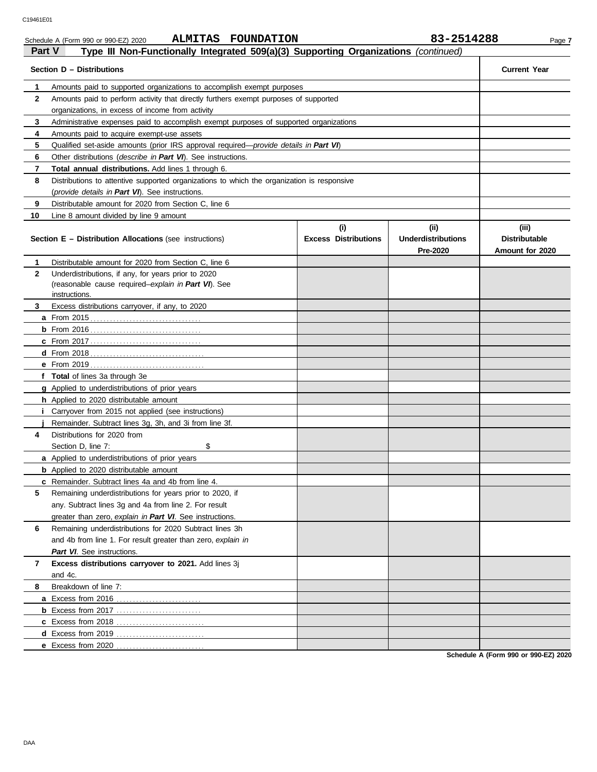| <b>Part V</b> | ALMITAS FOUNDATION<br>Schedule A (Form 990 or 990-EZ) 2020<br>Type III Non-Functionally Integrated 509(a)(3) Supporting Organizations (continued) |                             | 83-2514288                | Page 7               |
|---------------|---------------------------------------------------------------------------------------------------------------------------------------------------|-----------------------------|---------------------------|----------------------|
|               | Section D - Distributions                                                                                                                         |                             |                           | <b>Current Year</b>  |
| 1             | Amounts paid to supported organizations to accomplish exempt purposes                                                                             |                             |                           |                      |
| 2             | Amounts paid to perform activity that directly furthers exempt purposes of supported                                                              |                             |                           |                      |
|               | organizations, in excess of income from activity                                                                                                  |                             |                           |                      |
| 3             | Administrative expenses paid to accomplish exempt purposes of supported organizations                                                             |                             |                           |                      |
| 4             | Amounts paid to acquire exempt-use assets                                                                                                         |                             |                           |                      |
| 5             | Qualified set-aside amounts (prior IRS approval required— <i>provide details in Part VI</i> )                                                     |                             |                           |                      |
| 6             | Other distributions ( <i>describe in Part VI</i> ). See instructions.                                                                             |                             |                           |                      |
| 7             | <b>Total annual distributions.</b> Add lines 1 through 6.                                                                                         |                             |                           |                      |
| 8             | Distributions to attentive supported organizations to which the organization is responsive                                                        |                             |                           |                      |
|               | (provide details in Part VI). See instructions.                                                                                                   |                             |                           |                      |
| 9             | Distributable amount for 2020 from Section C, line 6                                                                                              |                             |                           |                      |
| 10            | Line 8 amount divided by line 9 amount                                                                                                            |                             |                           |                      |
|               |                                                                                                                                                   | (i)                         | (i)                       | (iii)                |
|               | <b>Section E - Distribution Allocations (see instructions)</b>                                                                                    | <b>Excess Distributions</b> | <b>Underdistributions</b> | <b>Distributable</b> |
|               |                                                                                                                                                   |                             | Pre-2020                  | Amount for 2020      |
| 1             | Distributable amount for 2020 from Section C, line 6                                                                                              |                             |                           |                      |
| $\mathbf{2}$  | Underdistributions, if any, for years prior to 2020                                                                                               |                             |                           |                      |
|               | (reasonable cause required-explain in Part VI). See                                                                                               |                             |                           |                      |
|               | instructions.                                                                                                                                     |                             |                           |                      |
| 3             | Excess distributions carryover, if any, to 2020                                                                                                   |                             |                           |                      |
|               |                                                                                                                                                   |                             |                           |                      |
|               |                                                                                                                                                   |                             |                           |                      |
|               |                                                                                                                                                   |                             |                           |                      |
|               |                                                                                                                                                   |                             |                           |                      |
|               | <b>e</b> From 2019                                                                                                                                |                             |                           |                      |
|               | f Total of lines 3a through 3e                                                                                                                    |                             |                           |                      |
|               | g Applied to underdistributions of prior years                                                                                                    |                             |                           |                      |
|               | h Applied to 2020 distributable amount                                                                                                            |                             |                           |                      |
| Ť.            | Carryover from 2015 not applied (see instructions)                                                                                                |                             |                           |                      |
|               | Remainder. Subtract lines 3g, 3h, and 3i from line 3f.                                                                                            |                             |                           |                      |
| 4             | Distributions for 2020 from                                                                                                                       |                             |                           |                      |
|               | \$<br>Section D, line 7:                                                                                                                          |                             |                           |                      |
|               | <b>a</b> Applied to underdistributions of prior years                                                                                             |                             |                           |                      |
|               | <b>b</b> Applied to 2020 distributable amount                                                                                                     |                             |                           |                      |
|               | c Remainder. Subtract lines 4a and 4b from line 4.                                                                                                |                             |                           |                      |
| 5             | Remaining underdistributions for years prior to 2020, if                                                                                          |                             |                           |                      |
|               | any. Subtract lines 3g and 4a from line 2. For result                                                                                             |                             |                           |                      |
|               | greater than zero, explain in Part VI. See instructions.                                                                                          |                             |                           |                      |
| 6             | Remaining underdistributions for 2020 Subtract lines 3h                                                                                           |                             |                           |                      |
|               | and 4b from line 1. For result greater than zero, explain in                                                                                      |                             |                           |                      |
|               | Part VI. See instructions.                                                                                                                        |                             |                           |                      |
| 7             | Excess distributions carryover to 2021. Add lines 3j                                                                                              |                             |                           |                      |
|               | and 4c.                                                                                                                                           |                             |                           |                      |

**Schedule A (Form 990 or 990-EZ) 2020**

**8** Breakdown of line 7:

**a** Excess from 2016 . . . . . . . . . . . . . . . . . . . . . . . . . . **b** Excess from 2017 . . . . . . . . . . . . . . . . . . . . . . . . . . **c** Excess from 2018 . . . . . . . . . . . . . . . . . . . . . . . . . . . **d** Excess from 2019 . . . . . . . . . . . . . . . . . . . . . . . . . . . **e** Excess from 2020 . . . . . . . . . . . . . . . . . . . . . . . . . . .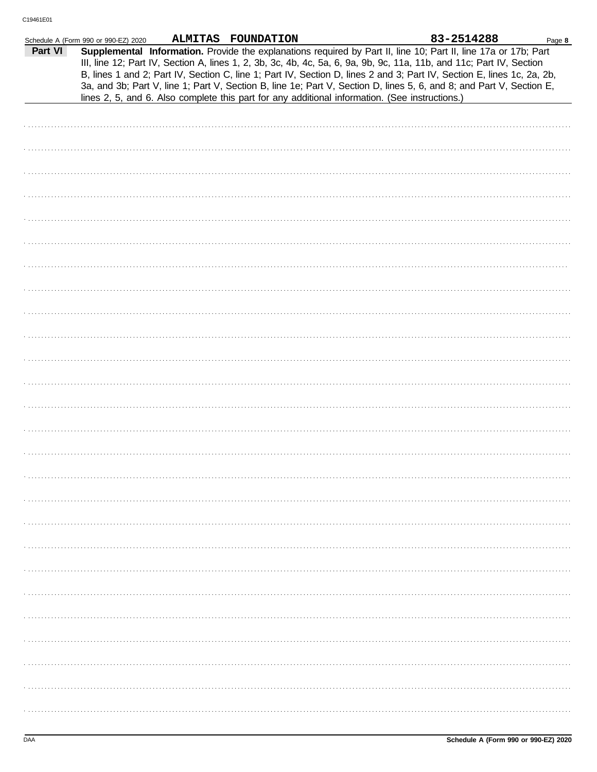|         | Schedule A (Form 990 or 990-EZ) 2020 | ALMITAS FOUNDATION |                                                                                                                                                                                                                                                                                                                                                                                                                                                                                                                                                                                             | 83-2514288 | Page 8 |
|---------|--------------------------------------|--------------------|---------------------------------------------------------------------------------------------------------------------------------------------------------------------------------------------------------------------------------------------------------------------------------------------------------------------------------------------------------------------------------------------------------------------------------------------------------------------------------------------------------------------------------------------------------------------------------------------|------------|--------|
| Part VI |                                      |                    | Supplemental Information. Provide the explanations required by Part II, line 10; Part II, line 17a or 17b; Part<br>III, line 12; Part IV, Section A, lines 1, 2, 3b, 3c, 4b, 4c, 5a, 6, 9a, 9b, 9c, 11a, 11b, and 11c; Part IV, Section<br>B, lines 1 and 2; Part IV, Section C, line 1; Part IV, Section D, lines 2 and 3; Part IV, Section E, lines 1c, 2a, 2b,<br>3a, and 3b; Part V, line 1; Part V, Section B, line 1e; Part V, Section D, lines 5, 6, and 8; and Part V, Section E,<br>lines 2, 5, and 6. Also complete this part for any additional information. (See instructions.) |            |        |
|         |                                      |                    |                                                                                                                                                                                                                                                                                                                                                                                                                                                                                                                                                                                             |            |        |
|         |                                      |                    |                                                                                                                                                                                                                                                                                                                                                                                                                                                                                                                                                                                             |            |        |
|         |                                      |                    |                                                                                                                                                                                                                                                                                                                                                                                                                                                                                                                                                                                             |            |        |
|         |                                      |                    |                                                                                                                                                                                                                                                                                                                                                                                                                                                                                                                                                                                             |            |        |
|         |                                      |                    |                                                                                                                                                                                                                                                                                                                                                                                                                                                                                                                                                                                             |            |        |
|         |                                      |                    |                                                                                                                                                                                                                                                                                                                                                                                                                                                                                                                                                                                             |            |        |
|         |                                      |                    |                                                                                                                                                                                                                                                                                                                                                                                                                                                                                                                                                                                             |            |        |
|         |                                      |                    |                                                                                                                                                                                                                                                                                                                                                                                                                                                                                                                                                                                             |            |        |
|         |                                      |                    |                                                                                                                                                                                                                                                                                                                                                                                                                                                                                                                                                                                             |            |        |
|         |                                      |                    |                                                                                                                                                                                                                                                                                                                                                                                                                                                                                                                                                                                             |            |        |
|         |                                      |                    |                                                                                                                                                                                                                                                                                                                                                                                                                                                                                                                                                                                             |            |        |
|         |                                      |                    |                                                                                                                                                                                                                                                                                                                                                                                                                                                                                                                                                                                             |            |        |
|         |                                      |                    |                                                                                                                                                                                                                                                                                                                                                                                                                                                                                                                                                                                             |            |        |
|         |                                      |                    |                                                                                                                                                                                                                                                                                                                                                                                                                                                                                                                                                                                             |            |        |
|         |                                      |                    |                                                                                                                                                                                                                                                                                                                                                                                                                                                                                                                                                                                             |            |        |
|         |                                      |                    |                                                                                                                                                                                                                                                                                                                                                                                                                                                                                                                                                                                             |            |        |
|         |                                      |                    |                                                                                                                                                                                                                                                                                                                                                                                                                                                                                                                                                                                             |            |        |
|         |                                      |                    |                                                                                                                                                                                                                                                                                                                                                                                                                                                                                                                                                                                             |            |        |
|         |                                      |                    |                                                                                                                                                                                                                                                                                                                                                                                                                                                                                                                                                                                             |            |        |
|         |                                      |                    |                                                                                                                                                                                                                                                                                                                                                                                                                                                                                                                                                                                             |            |        |
|         |                                      |                    |                                                                                                                                                                                                                                                                                                                                                                                                                                                                                                                                                                                             |            |        |
|         |                                      |                    |                                                                                                                                                                                                                                                                                                                                                                                                                                                                                                                                                                                             |            |        |
|         |                                      |                    |                                                                                                                                                                                                                                                                                                                                                                                                                                                                                                                                                                                             |            |        |
|         |                                      |                    |                                                                                                                                                                                                                                                                                                                                                                                                                                                                                                                                                                                             |            |        |
|         |                                      |                    |                                                                                                                                                                                                                                                                                                                                                                                                                                                                                                                                                                                             |            |        |
|         |                                      |                    |                                                                                                                                                                                                                                                                                                                                                                                                                                                                                                                                                                                             |            |        |
|         |                                      |                    |                                                                                                                                                                                                                                                                                                                                                                                                                                                                                                                                                                                             |            |        |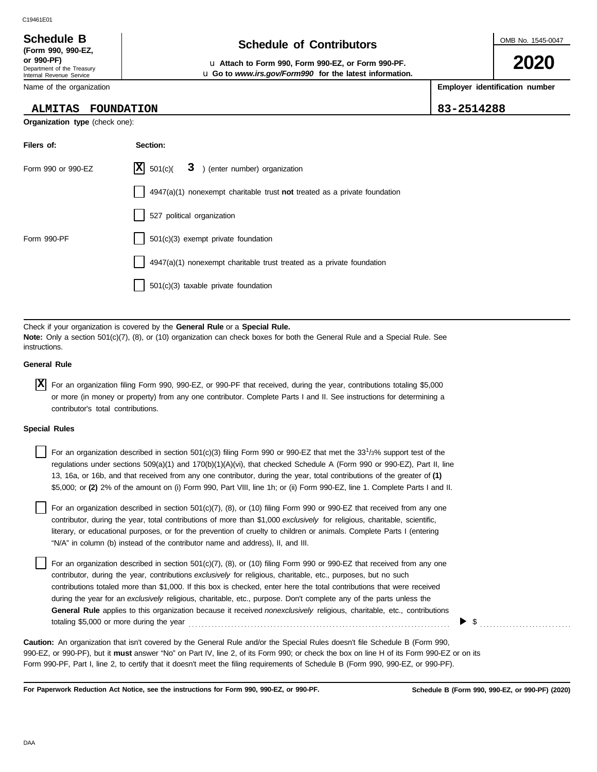## **Schedule of Contributors Schedule B**

**or 990-PF)** u **Attach to Form 990, Form 990-EZ, or Form 990-PF.** u **Go to** *www.irs.gov/Form990* **for the latest information.** OMB No. 1545-0047

**2020**

**Employer identification number**

| <b>ALMITAS FOUNDATION</b> | $ 83 - 2514288$ |
|---------------------------|-----------------|

Department of the Treasury Internal Revenue Service Name of the organization

**(Form 990, 990-EZ,**

**Organization type** (check one):

| Filers of:         | Section:                                                                    |
|--------------------|-----------------------------------------------------------------------------|
| Form 990 or 990-EZ | $ \mathbf{X} $ 501(c)( 3) (enter number) organization                       |
|                    | $4947(a)(1)$ nonexempt charitable trust not treated as a private foundation |
|                    | 527 political organization                                                  |
| Form 990-PF        | 501(c)(3) exempt private foundation                                         |
|                    | 4947(a)(1) nonexempt charitable trust treated as a private foundation       |
|                    | 501(c)(3) taxable private foundation                                        |

Check if your organization is covered by the **General Rule** or a **Special Rule. Note:** Only a section 501(c)(7), (8), or (10) organization can check boxes for both the General Rule and a Special Rule. See instructions.

#### **General Rule**

For an organization filing Form 990, 990-EZ, or 990-PF that received, during the year, contributions totaling \$5,000 **X** or more (in money or property) from any one contributor. Complete Parts I and II. See instructions for determining a contributor's total contributions.

#### **Special Rules**

For an organization described in section  $501(c)(3)$  filing Form 990 or 990-EZ that met the 33<sup>1</sup>/3% support test of the regulations under sections 509(a)(1) and 170(b)(1)(A)(vi), that checked Schedule A (Form 990 or 990-EZ), Part II, line 13, 16a, or 16b, and that received from any one contributor, during the year, total contributions of the greater of **(1)** \$5,000; or **(2)** 2% of the amount on (i) Form 990, Part VIII, line 1h; or (ii) Form 990-EZ, line 1. Complete Parts I and II.

literary, or educational purposes, or for the prevention of cruelty to children or animals. Complete Parts I (entering For an organization described in section 501(c)(7), (8), or (10) filing Form 990 or 990-EZ that received from any one contributor, during the year, total contributions of more than \$1,000 *exclusively* for religious, charitable, scientific, "N/A" in column (b) instead of the contributor name and address), II, and III.

For an organization described in section 501(c)(7), (8), or (10) filing Form 990 or 990-EZ that received from any one contributor, during the year, contributions *exclusively* for religious, charitable, etc., purposes, but no such contributions totaled more than \$1,000. If this box is checked, enter here the total contributions that were received during the year for an *exclusively* religious, charitable, etc., purpose. Don't complete any of the parts unless the **General Rule** applies to this organization because it received *nonexclusively* religious, charitable, etc., contributions totaling \$5,000 or more during the year . . . . . . . . . . . . . . . . . . . . . . . . . . . . . . . . . . . . . . . . . . . . . . . . . . . . . . . . . . . . . . . . . . . . . . . . . . . . . . . .

990-EZ, or 990-PF), but it **must** answer "No" on Part IV, line 2, of its Form 990; or check the box on line H of its Form 990-EZ or on its Form 990-PF, Part I, line 2, to certify that it doesn't meet the filing requirements of Schedule B (Form 990, 990-EZ, or 990-PF). **Caution:** An organization that isn't covered by the General Rule and/or the Special Rules doesn't file Schedule B (Form 990,

**For Paperwork Reduction Act Notice, see the instructions for Form 990, 990-EZ, or 990-PF.**

 $\triangleright$  \$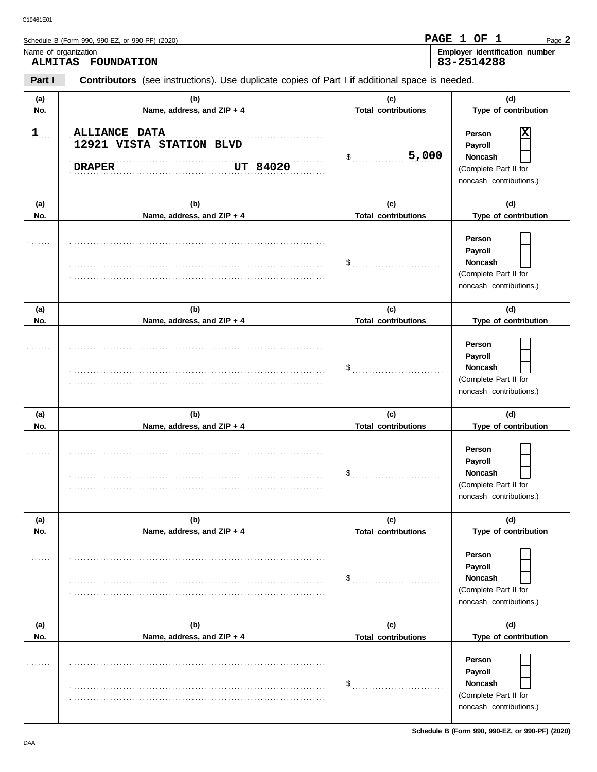|                                        | Schedule B (Form 990, 990-EZ, or 990-PF) (2020)                                                |                                   | PAGE 1 OF 1<br>Page 2                                                                   |
|----------------------------------------|------------------------------------------------------------------------------------------------|-----------------------------------|-----------------------------------------------------------------------------------------|
| Name of organization<br><b>ALMITAS</b> | <b>FOUNDATION</b>                                                                              |                                   | Employer identification number<br>83-2514288                                            |
| Part I                                 | Contributors (see instructions). Use duplicate copies of Part I if additional space is needed. |                                   |                                                                                         |
| (a)<br>No.                             | (b)<br>Name, address, and ZIP + 4                                                              | (c)<br><b>Total contributions</b> | (d)<br>Type of contribution                                                             |
| $\mathbf{1}$                           | <b>ALLIANCE DATA</b><br>12921 VISTA STATION BLVD<br><b>DRAPER</b><br>UT 84020                  | 5,000<br>\$                       | ΙX<br>Person<br>Payroll<br>Noncash<br>(Complete Part II for<br>noncash contributions.)  |
| (a)                                    | (b)                                                                                            | (c)                               | (d)                                                                                     |
| No.                                    | Name, address, and ZIP + 4                                                                     | <b>Total contributions</b>        | Type of contribution                                                                    |
|                                        |                                                                                                | \$                                | Person<br>Payroll<br>Noncash<br>(Complete Part II for<br>noncash contributions.)        |
| (a)                                    | (b)                                                                                            | (c)                               | (d)                                                                                     |
| No.                                    | Name, address, and ZIP + 4                                                                     | <b>Total contributions</b>        | Type of contribution                                                                    |
|                                        |                                                                                                | \$                                | Person<br>Payroll<br><b>Noncash</b><br>(Complete Part II for<br>noncash contributions.) |
| (a)                                    | (b)                                                                                            | (c)                               | (d)                                                                                     |
| No.                                    | Name, address, and ZIP + 4                                                                     | <b>Total contributions</b>        | Type of contribution                                                                    |
|                                        |                                                                                                | \$                                | Person<br>Payroll<br>Noncash<br>(Complete Part II for<br>noncash contributions.)        |
| (a)                                    | (b)                                                                                            | (c)                               | (d)                                                                                     |
| No.                                    | Name, address, and ZIP + 4                                                                     | <b>Total contributions</b>        | Type of contribution                                                                    |
|                                        |                                                                                                | \$                                | Person<br>Payroll<br><b>Noncash</b><br>(Complete Part II for<br>noncash contributions.) |
| (a)                                    | (b)                                                                                            | (c)                               | (d)                                                                                     |
| No.                                    | Name, address, and ZIP + 4                                                                     | <b>Total contributions</b>        | Type of contribution                                                                    |
|                                        |                                                                                                | \$                                | Person<br>Payroll<br><b>Noncash</b><br>(Complete Part II for<br>noncash contributions.) |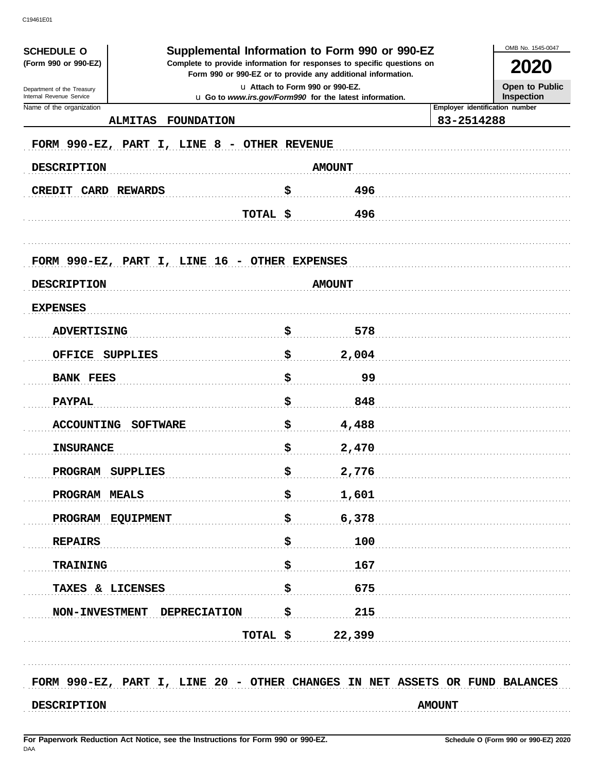| <b>SCHEDULE O</b><br>(Form 990 or 990-EZ)                                   |                                 | Supplemental Information to Form 990 or 990-EZ<br>Complete to provide information for responses to specific questions on |               | 2020                                  |
|-----------------------------------------------------------------------------|---------------------------------|--------------------------------------------------------------------------------------------------------------------------|---------------|---------------------------------------|
|                                                                             |                                 | Form 990 or 990-EZ or to provide any additional information.                                                             |               |                                       |
| Department of the Treasury<br>Internal Revenue Service                      | u Attach to Form 990 or 990-EZ. | u Go to www.irs.gov/Form990 for the latest information.                                                                  |               | <b>Open to Public</b><br>Inspection   |
| Name of the organization                                                    |                                 |                                                                                                                          |               | <b>Employer identification number</b> |
| <b>FOUNDATION</b><br><b>ALMITAS</b>                                         |                                 |                                                                                                                          | 83-2514288    |                                       |
| FORM 990-EZ, PART I, LINE 8 - OTHER REVENUE                                 |                                 |                                                                                                                          |               |                                       |
| <b>DESCRIPTION</b>                                                          |                                 | <b>AMOUNT</b>                                                                                                            |               |                                       |
| <b>CREDIT CARD REWARDS</b>                                                  | \$                              | 496                                                                                                                      |               |                                       |
|                                                                             | TOTAL \$                        | 496                                                                                                                      |               |                                       |
|                                                                             |                                 |                                                                                                                          |               |                                       |
| FORM 990-EZ, PART I, LINE 16 - OTHER EXPENSES                               |                                 |                                                                                                                          |               |                                       |
| <b>DESCRIPTION</b>                                                          |                                 | <b>AMOUNT</b>                                                                                                            |               |                                       |
| <b>EXPENSES</b>                                                             |                                 |                                                                                                                          |               |                                       |
| <b>ADVERTISING</b>                                                          | \$                              | 578                                                                                                                      |               |                                       |
| <b>OFFICE</b><br><b>SUPPLIES</b>                                            | \$                              | 2,004                                                                                                                    |               |                                       |
| <b>BANK FEES</b>                                                            | \$                              | 99                                                                                                                       |               |                                       |
| <b>PAYPAL</b>                                                               | \$                              | 848                                                                                                                      |               |                                       |
| <b>ACCOUNTING</b><br><b>SOFTWARE</b>                                        | \$                              | 4,488                                                                                                                    |               |                                       |
| <b>INSURANCE</b>                                                            | \$                              | 2,470                                                                                                                    |               |                                       |
| PROGRAM SUPPLIES                                                            | Ś.                              | 2,776                                                                                                                    |               |                                       |
| PROGRAM MEALS                                                               | \$                              | 1,601                                                                                                                    |               |                                       |
| PROGRAM EQUIPMENT                                                           | \$                              | 6,378                                                                                                                    |               |                                       |
| <b>REPAIRS</b>                                                              | \$                              | 100                                                                                                                      |               |                                       |
| <b>TRAINING</b>                                                             | \$                              | 167                                                                                                                      |               |                                       |
| TAXES & LICENSES                                                            | \$                              | 675                                                                                                                      |               |                                       |
| NON-INVESTMENT DEPRECIATION                                                 | \$                              | 215                                                                                                                      |               |                                       |
|                                                                             | TOTAL \$                        | 22,399                                                                                                                   |               |                                       |
|                                                                             |                                 |                                                                                                                          |               |                                       |
| FORM 990-EZ, PART I, LINE 20 - OTHER CHANGES IN NET ASSETS OR FUND BALANCES |                                 |                                                                                                                          |               |                                       |
| <b>DESCRIPTION</b>                                                          |                                 |                                                                                                                          | <b>AMOUNT</b> |                                       |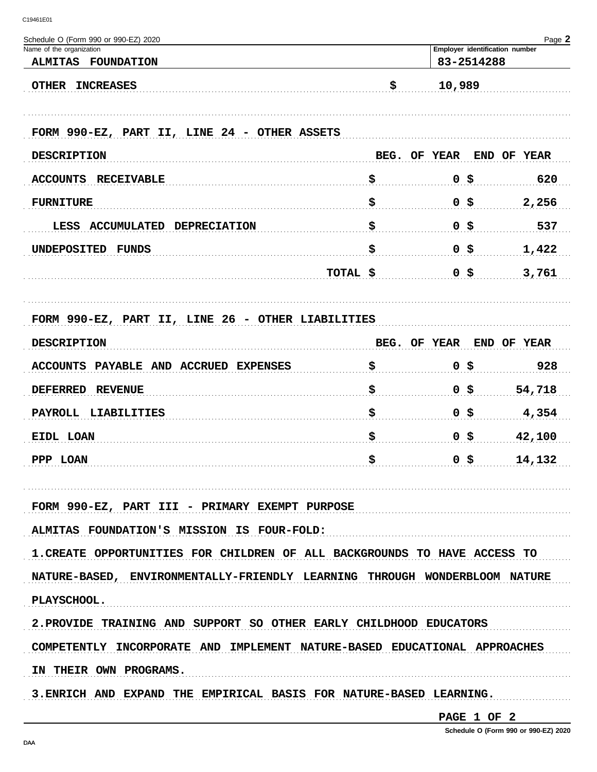| Schedule O (Form 990 or 990-EZ) 2020<br>Name of the organization           |              | Employer identification number | Page 2      |
|----------------------------------------------------------------------------|--------------|--------------------------------|-------------|
| <b>ALMITAS</b><br><b>FOUNDATION</b>                                        |              | 83-2514288                     |             |
| <b>OTHER</b><br><b>INCREASES</b>                                           | \$           | 10,989                         |             |
| FORM 990-EZ, PART II, LINE 24 - OTHER ASSETS                               |              |                                |             |
| <b>DESCRIPTION</b>                                                         | BEG. OF YEAR |                                | END OF YEAR |
| <b>RECEIVABLE</b><br><b>ACCOUNTS</b>                                       | \$           | 0 \$                           | 620         |
| <b>FURNITURE</b>                                                           | \$           | 0 \$                           | 2,256       |
| <b>ACCUMULATED</b><br><b>DEPRECIATION</b><br>LESS                          | \$           | 0 \$                           | 537         |
| <b>UNDEPOSITED</b><br>FUNDS                                                | \$           | 0 \$                           | 1,422       |
| TOTAL \$                                                                   |              | 0 \$                           | 3,761       |
|                                                                            |              |                                |             |
| FORM 990-EZ, PART II, LINE 26 - OTHER LIABILITIES                          |              |                                |             |
| <b>DESCRIPTION</b>                                                         | BEG. OF YEAR |                                | END OF YEAR |
| PAYABLE AND ACCRUED EXPENSES<br><b>ACCOUNTS</b>                            | \$           | -\$<br>$\mathbf 0$             | 928         |
| <b>DEFERRED</b><br><b>REVENUE</b>                                          | \$           | 0 \$                           | 54,718      |
| <b>PAYROLL</b><br>LIABILITIES                                              | \$           | 0 \$                           | 4,354       |
| EIDL LOAN                                                                  | \$           | -\$<br>$\mathbf 0$             | 42,100      |
| PPP LOAN                                                                   | \$           | 0 \$                           | 14,132      |
|                                                                            |              |                                |             |
| FORM 990-EZ, PART III - PRIMARY EXEMPT PURPOSE                             |              |                                |             |
| ALMITAS FOUNDATION'S MISSION IS FOUR-FOLD:                                 |              |                                |             |
| 1. CREATE OPPORTUNITIES FOR CHILDREN OF ALL BACKGROUNDS TO HAVE ACCESS TO  |              |                                |             |
| NATURE-BASED, ENVIRONMENTALLY-FRIENDLY LEARNING THROUGH WONDERBLOOM NATURE |              |                                |             |
| PLAYSCHOOL.                                                                |              |                                |             |
| 2. PROVIDE TRAINING AND SUPPORT SO OTHER EARLY CHILDHOOD EDUCATORS         |              |                                |             |
| COMPETENTLY INCORPORATE AND IMPLEMENT NATURE-BASED EDUCATIONAL APPROACHES  |              |                                |             |
| IN THEIR OWN PROGRAMS.                                                     |              |                                |             |
| 3.ENRICH AND EXPAND THE EMPIRICAL BASIS FOR NATURE-BASED LEARNING.         |              |                                |             |
|                                                                            |              |                                |             |

PAGE 1 OF 2

Schedule O (Form 990 or 990-EZ) 2020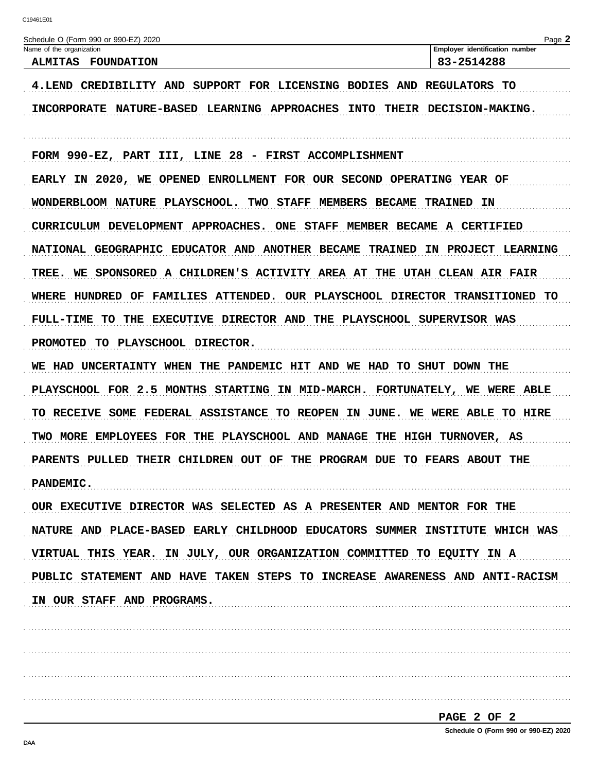| Schedule O (Form 990 or 990-EZ) 2020<br>Name of the organization                | Page 2<br>Employer identification number |
|---------------------------------------------------------------------------------|------------------------------------------|
| <b>ALMITAS</b><br><b>FOUNDATION</b>                                             | 83-2514288                               |
| 4.LEND CREDIBILITY AND SUPPORT FOR LICENSING BODIES AND REGULATORS TO           |                                          |
| <b>INTO</b><br>INCORPORATE NATURE-BASED LEARNING APPROACHES                     | THEIR DECISION-MAKING.                   |
|                                                                                 |                                          |
| FORM 990-EZ, PART III, LINE 28 - FIRST ACCOMPLISHMENT                           |                                          |
| EARLY IN 2020, WE OPENED ENROLLMENT FOR OUR SECOND OPERATING YEAR OF            |                                          |
| WONDERBLOOM NATURE PLAYSCHOOL. TWO STAFF MEMBERS BECAME                         | <b>TRAINED IN</b>                        |
| CURRICULUM DEVELOPMENT APPROACHES. ONE STAFF MEMBER BECAME A CERTIFIED          |                                          |
| NATIONAL GEOGRAPHIC EDUCATOR AND ANOTHER BECAME<br><b>TRAINED</b>               | IN PROJECT LEARNING                      |
| TREE. WE SPONSORED A CHILDREN'S ACTIVITY AREA AT THE UTAH CLEAN AIR FAIR        |                                          |
| WHERE HUNDRED OF FAMILIES ATTENDED. OUR PLAYSCHOOL DIRECTOR TRANSITIONED TO     |                                          |
| TO THE EXECUTIVE DIRECTOR AND THE PLAYSCHOOL SUPERVISOR WAS<br><b>FULL-TIME</b> |                                          |
| PROMOTED TO PLAYSCHOOL DIRECTOR.                                                |                                          |
| WE HAD UNCERTAINTY WHEN THE PANDEMIC HIT AND WE HAD TO SHUT DOWN THE            |                                          |
| PLAYSCHOOL FOR 2.5 MONTHS STARTING IN MID-MARCH. FORTUNATELY, WE WERE ABLE      |                                          |
| TO RECEIVE SOME FEDERAL ASSISTANCE TO REOPEN IN JUNE. WE WERE ABLE TO HIRE      |                                          |
| TWO MORE EMPLOYEES FOR THE PLAYSCHOOL AND MANAGE THE HIGH TURNOVER, AS          |                                          |
| PARENTS PULLED THEIR CHILDREN OUT OF THE PROGRAM DUE TO FEARS ABOUT             | THE                                      |
| <b>PANDEMIC.</b>                                                                |                                          |
| OUR EXECUTIVE DIRECTOR WAS SELECTED AS A PRESENTER AND MENTOR FOR THE           |                                          |
| NATURE AND PLACE-BASED EARLY CHILDHOOD EDUCATORS SUMMER INSTITUTE WHICH WAS     |                                          |
| VIRTUAL THIS YEAR. IN JULY, OUR ORGANIZATION COMMITTED TO EQUITY IN A           |                                          |
| PUBLIC STATEMENT AND HAVE TAKEN STEPS TO INCREASE AWARENESS AND ANTI-RACISM     |                                          |
| IN OUR STAFF AND PROGRAMS.                                                      |                                          |
|                                                                                 |                                          |
|                                                                                 |                                          |
|                                                                                 |                                          |
|                                                                                 |                                          |

| PAGE 2 OF 2 |  |  |                                      |
|-------------|--|--|--------------------------------------|
|             |  |  | Schedule O (Form 990 or 990-EZ) 2020 |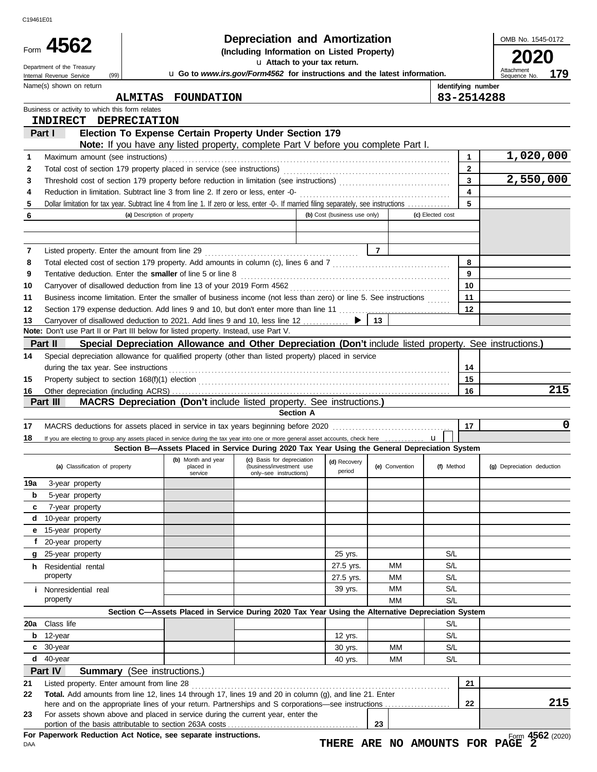| C19461E01 |                                                             |                                                                                                                                         |                                                                                  |                              |                |                  |                              |                            |
|-----------|-------------------------------------------------------------|-----------------------------------------------------------------------------------------------------------------------------------------|----------------------------------------------------------------------------------|------------------------------|----------------|------------------|------------------------------|----------------------------|
|           |                                                             |                                                                                                                                         | <b>Depreciation and Amortization</b>                                             |                              |                |                  |                              | OMB No. 1545-0172          |
|           | Form 4562<br>(Including Information on Listed Property)     |                                                                                                                                         |                                                                                  |                              |                |                  |                              |                            |
|           | Department of the Treasury                                  |                                                                                                                                         | u Attach to your tax return.                                                     |                              |                |                  |                              | 2020<br>Attachment         |
|           | (99)<br>Internal Revenue Service<br>Name(s) shown on return |                                                                                                                                         | u Go to www.irs.gov/Form4562 for instructions and the latest information.        |                              |                |                  | Identifying number           | 179<br>Sequence No.        |
|           |                                                             | <b>ALMITAS</b><br><b>FOUNDATION</b>                                                                                                     |                                                                                  |                              |                |                  | 83-2514288                   |                            |
|           | Business or activity to which this form relates             |                                                                                                                                         |                                                                                  |                              |                |                  |                              |                            |
|           | INDIRECT DEPRECIATION                                       |                                                                                                                                         |                                                                                  |                              |                |                  |                              |                            |
|           | Part I                                                      | Election To Expense Certain Property Under Section 179                                                                                  |                                                                                  |                              |                |                  |                              |                            |
|           |                                                             | Note: If you have any listed property, complete Part V before you complete Part I.                                                      |                                                                                  |                              |                |                  |                              |                            |
| 1         | Maximum amount (see instructions)                           |                                                                                                                                         |                                                                                  |                              |                |                  | $\mathbf{1}$<br>$\mathbf{2}$ | 1,020,000                  |
| 2<br>3    |                                                             |                                                                                                                                         |                                                                                  |                              |                |                  | 3                            | 2,550,000                  |
| 4         |                                                             |                                                                                                                                         |                                                                                  |                              |                |                  | $\overline{\mathbf{4}}$      |                            |
| 5         |                                                             | Dollar limitation for tax year. Subtract line 4 from line 1. If zero or less, enter -0-. If married filing separately, see instructions |                                                                                  |                              |                |                  | 5                            |                            |
| 6         |                                                             | (a) Description of property                                                                                                             |                                                                                  | (b) Cost (business use only) |                | (c) Elected cost |                              |                            |
|           |                                                             |                                                                                                                                         |                                                                                  |                              |                |                  |                              |                            |
|           |                                                             |                                                                                                                                         |                                                                                  |                              |                |                  |                              |                            |
| 7         | Listed property. Enter the amount from line 29              |                                                                                                                                         |                                                                                  |                              | $\overline{7}$ |                  |                              |                            |
| 8         |                                                             |                                                                                                                                         |                                                                                  |                              |                |                  | 8                            |                            |
| 9         |                                                             | Tentative deduction. Enter the smaller of line 5 or line 8                                                                              |                                                                                  |                              |                |                  | 9<br>10                      |                            |
| 10<br>11  |                                                             | Business income limitation. Enter the smaller of business income (not less than zero) or line 5. See instructions                       |                                                                                  |                              |                |                  | 11                           |                            |
| 12        |                                                             | Section 179 expense deduction. Add lines 9 and 10, but don't enter more than line 11                                                    |                                                                                  |                              |                |                  | 12                           |                            |
| 13        |                                                             | Carryover of disallowed deduction to 2021. Add lines 9 and 10, less line 12                                                             |                                                                                  |                              | 13             |                  |                              |                            |
|           |                                                             | Note: Don't use Part II or Part III below for listed property. Instead, use Part V.                                                     |                                                                                  |                              |                |                  |                              |                            |
|           | Part II                                                     | Special Depreciation Allowance and Other Depreciation (Don't include listed property. See instructions.)                                |                                                                                  |                              |                |                  |                              |                            |
| 14        |                                                             | Special depreciation allowance for qualified property (other than listed property) placed in service                                    |                                                                                  |                              |                |                  |                              |                            |
|           |                                                             |                                                                                                                                         |                                                                                  |                              |                |                  | 14                           |                            |
| 15        |                                                             |                                                                                                                                         |                                                                                  |                              |                |                  | 15                           |                            |
| 16        | Part III                                                    | <b>MACRS Depreciation (Don't include listed property. See instructions.)</b>                                                            |                                                                                  |                              |                |                  | 16                           | 215                        |
|           |                                                             |                                                                                                                                         | <b>Section A</b>                                                                 |                              |                |                  |                              |                            |
| 17        |                                                             |                                                                                                                                         |                                                                                  |                              |                |                  | 17                           | 0                          |
| 18        |                                                             |                                                                                                                                         |                                                                                  |                              |                |                  |                              |                            |
|           |                                                             | Section B-Assets Placed in Service During 2020 Tax Year Using the General Depreciation System                                           |                                                                                  |                              |                |                  |                              |                            |
|           | (a) Classification of property                              | (b) Month and year<br>placed in<br>service                                                                                              | (c) Basis for depreciation<br>(business/investment use<br>only-see instructions) | (d) Recovery<br>period       | (e) Convention | (f) Method       |                              | (g) Depreciation deduction |
| 19a       | 3-year property                                             |                                                                                                                                         |                                                                                  |                              |                |                  |                              |                            |
| b         | 5-year property                                             |                                                                                                                                         |                                                                                  |                              |                |                  |                              |                            |
| С         | 7-year property                                             |                                                                                                                                         |                                                                                  |                              |                |                  |                              |                            |
| d         | 10-year property                                            |                                                                                                                                         |                                                                                  |                              |                |                  |                              |                            |
| е<br>f    | 15-year property<br>20-year property                        |                                                                                                                                         |                                                                                  |                              |                |                  |                              |                            |
| g         | 25-year property                                            |                                                                                                                                         |                                                                                  | 25 yrs.                      |                | S/L              |                              |                            |
|           | <b>h</b> Residential rental                                 |                                                                                                                                         |                                                                                  | 27.5 yrs.                    | MМ             | S/L              |                              |                            |
|           | property                                                    |                                                                                                                                         |                                                                                  | 27.5 yrs.                    | MМ             | S/L              |                              |                            |
|           | <i>i</i> Nonresidential real                                |                                                                                                                                         |                                                                                  | 39 yrs.                      | MМ             | S/L              |                              |                            |
|           | property                                                    |                                                                                                                                         |                                                                                  |                              | МM             | S/L              |                              |                            |
|           |                                                             |                                                                                                                                         |                                                                                  |                              |                |                  |                              |                            |
|           |                                                             | Section C-Assets Placed in Service During 2020 Tax Year Using the Alternative Depreciation System                                       |                                                                                  |                              |                |                  |                              |                            |
| 20a       | Class life                                                  |                                                                                                                                         |                                                                                  |                              |                | S/L              |                              |                            |
| b         | 12-year                                                     |                                                                                                                                         |                                                                                  | 12 yrs.                      |                | S/L              |                              |                            |
| c         | 30-year                                                     |                                                                                                                                         |                                                                                  | 30 yrs.                      | ΜМ             | S/L              |                              |                            |
| d         | 40-year                                                     |                                                                                                                                         |                                                                                  | 40 yrs.                      | ΜМ             | S/L              |                              |                            |
|           | Part IV                                                     | <b>Summary</b> (See instructions.)                                                                                                      |                                                                                  |                              |                |                  |                              |                            |
| 21<br>22  | Listed property. Enter amount from line 28                  | Total. Add amounts from line 12, lines 14 through 17, lines 19 and 20 in column (g), and line 21. Enter                                 |                                                                                  |                              |                |                  | 21                           |                            |
|           |                                                             | here and on the appropriate lines of your return. Partnerships and S corporations—see instructions                                      |                                                                                  |                              |                |                  | 22                           | 215                        |
| 23        |                                                             | For assets shown above and placed in service during the current year, enter the                                                         |                                                                                  |                              |                |                  |                              |                            |
|           |                                                             | For Paperwork Reduction Act Notice, see separate instructions.                                                                          |                                                                                  |                              | 23             |                  |                              | Form 4562 (2020)           |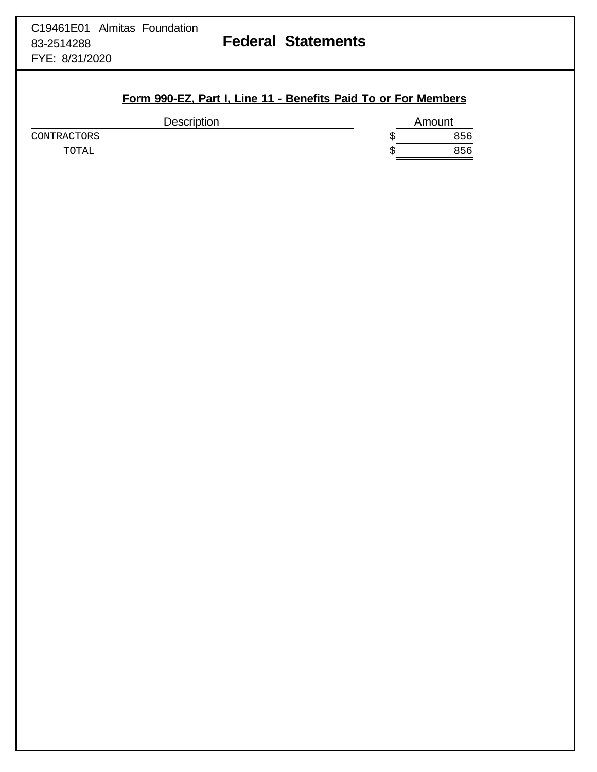### **Form 990-EZ, Part I, Line 11 - Benefits Paid To or For Members**

| Amount |
|--------|
| 856    |
| 856    |
|        |